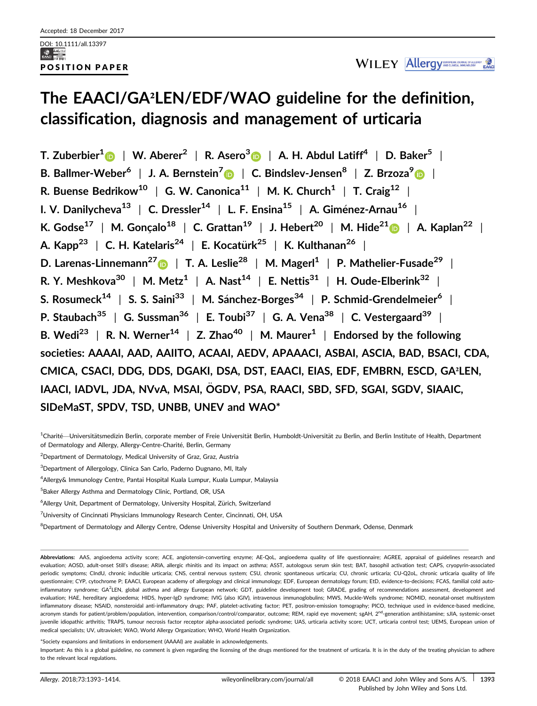# **The EAACI/GA²LEN/EDF/WAO guideline for the definition, classification, diagnosis and management of urticaria**

**T. Zuberbier<sup>1</sup>** | **W. Aberer<sup>2</sup>** | **R. Asero<sup>3</sup>** | **A. H. Abdul Latiff<sup>4</sup>** | **D. Baker<sup>5</sup>** | **B. Ballmer-Weber<sup>6</sup>** | **J. A. Bernstein<sup>7</sup>** | **C. Bindslev-Jensen8** | **Z. Brzoza[9](http://orcid.org/0000-0002-1230-7013)** | **R. Buense Bedrikow<sup>10</sup>** | **G. W. Canonica<sup>11</sup>** | **M. K. Church<sup>1</sup>** | **T. Craig<sup>12</sup>** | **I. V. Danilycheva<sup>13</sup>** | **C. Dressler<sup>14</sup>** | **L. F. Ensina<sup>15</sup>** | **A. Gimenez-Arnau <sup>16</sup>** | **K. Godse17** <sup>|</sup> **M. Goncalo<sup>18</sup>** <sup>|</sup> **C. Grattan<sup>19</sup>** <sup>|</sup> **J. Hebert<sup>20</sup>** <sup>|</sup> **M. Hide2[1](http://orcid.org/0000-0001-6183-6467)** <sup>|</sup> **A. Kaplan<sup>22</sup>** <sup>|</sup> **A. Kapp23** | **C. H. Katelaris<sup>24</sup>** | **E. Kocaturk** € **<sup>25</sup>** | **K. Kulthanan<sup>26</sup>** | **D. Larenas-Linnemann2[7](http://orcid.org/0000-0002-5713-5331)** | **T. A. Leslie28** | **M. Magerl1** | **P. Mathelier-Fusade<sup>29</sup>** | **R. Y. Meshkova<sup>30</sup>** | **M. Metz<sup>1</sup>** | **A. Nast<sup>14</sup>** | **E. Nettis<sup>31</sup>** | **H. Oude-Elberink<sup>32</sup>** | **S. Rosumeck<sup>14</sup>** | **S. S. Saini<sup>33</sup>** | **M. Sanchez-Borges<sup>34</sup>** | **P. Schmid-Grendelmeier<sup>6</sup>** | **P. Staubach<sup>35</sup>** | **G. Sussman<sup>36</sup>** | **E. Toubi<sup>37</sup>** | **G. A. Vena<sup>38</sup>** | **C. Vestergaard<sup>39</sup>** | **B.** Wedi<sup>23</sup> | **R.** N. Werner<sup>14</sup> | **Z.** Zhao<sup>40</sup> | M. Maurer<sup>1</sup> | Endorsed by the following **societies: AAAAI, AAD, AAIITO, ACAAI, AEDV, APAAACI, ASBAI, ASCIA, BAD, BSACI, CDA, CMICA, CSACI, DDG, DDS, DGAKI, DSA, DST, EAACI, EIAS, EDF, EMBRN, ESCD, GA²LEN, IAACI, IADVL, JDA, NVvA, MSAI, OGDV, PSA, RAACI, SBD, SFD, SGAI, SGDV, SIAAIC,** € **SIDeMaST, SPDV, TSD, UNBB, UNEV and WAO\***

<sup>1</sup>Charité—Universitätsmedizin Berlin, corporate member of Freie Universität Berlin, Humboldt-Universität zu Berlin, and Berlin Institute of Health, Department of Dermatology and Allergy, Allergy-Centre-Charité, Berlin, Germany

<sup>2</sup> Department of Dermatology, Medical University of Graz, Graz, Austria

<sup>3</sup>Department of Allergology, Clinica San Carlo, Paderno Dugnano, MI, Italy

4 Allergy& Immunology Centre, Pantai Hospital Kuala Lumpur, Kuala Lumpur, Malaysia

5 Baker Allergy Asthma and Dermatology Clinic, Portland, OR, USA

<sup>6</sup>Allergy Unit, Department of Dermatology, University Hospital, Zürich, Switzerland

<sup>7</sup>University of Cincinnati Physicians Immunology Research Center, Cincinnati, OH, USA

<sup>8</sup>Department of Dermatology and Allergy Centre, Odense University Hospital and University of Southern Denmark, Odense, Denmark

**Abbreviations:** AAS, angioedema activity score; ACE, angiotensin-converting enzyme; AE-QoL, angioedema quality of life questionnaire; AGREE, appraisal of guidelines research and evaluation; AOSD, adult-onset Still's disease; ARIA, allergic rhinitis and its impact on asthma; ASST, autologous serum skin test; BAT, basophil activation test; CAPS, cryopyrin-associated periodic symptoms; CIndU, chronic inducible urticaria; CNS, central nervous system; CSU, chronic spontaneous urticaria; CU, chronic urticaria; CU-Q2oL, chronic urticaria quality of life questionnaire; CYP, cytochrome P; EAACI, European academy of allergology and clinical immunology; EDF, European dermatology forum; EtD, evidence-to-decisions; FCAS, familial cold autoinflammatory syndrome; GA<sup>2</sup>LEN, global asthma and allergy European network; GDT, guideline development tool; GRADE, grading of recommendations assessment, development and evaluation; HAE, hereditary angioedema; HIDS, hyper-IgD syndrome; IVIG (also IGIV), intravenous immunoglobulins; MWS, Muckle-Wells syndrome; NOMID, neonatal-onset multisystem inflammatory disease; NSAID, nonsteroidal anti-inflammatory drugs; PAF, platelet-activating factor; PET, positron-emission tomography; PICO, technique used in evidence-based medicine, acronym stands for patient/problem/population, intervention, comparison/control/comparator, outcome; REM, rapid eye movement; sgAH, 2<sup>nd</sup>-generation antihistamine; sJIA, systemic-onset juvenile idiopathic arthritis; TRAPS, tumour necrosis factor receptor alpha-associated periodic syndrome; UAS, urticaria activity score; UCT, urticaria control test; UEMS, European union of medical specialists; UV, ultraviolet; WAO, World Allergy Organization; WHO, World Health Organization.

\*Society expansions and limitations in endorsement (AAAAI) are available in acknowledgements. Important: As this is a global guideline, no comment is given regarding the licensing of the drugs mentioned for the treatment of urticaria. It is in the duty of the treating physician to adhere to the relevant local regulations.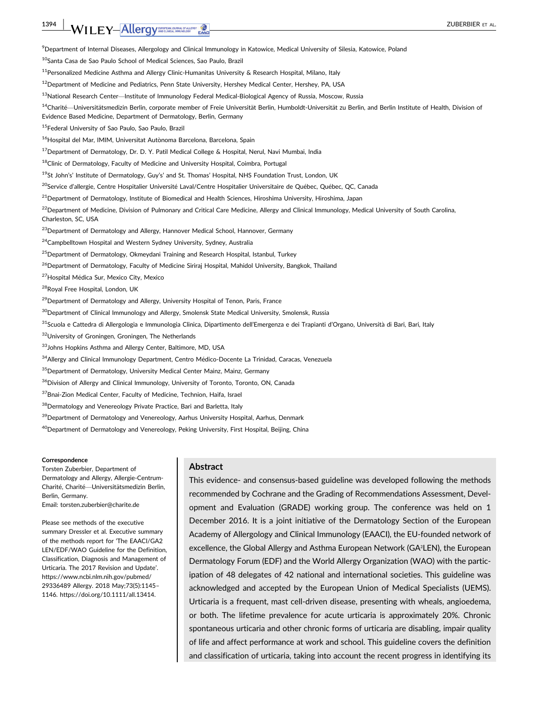# **1394 | WILEY-Allergy DRIGHANG CONTROL** EXACT **CALCER CONTROL**

9 Department of Internal Diseases, Allergology and Clinical Immunology in Katowice, Medical University of Silesia, Katowice, Poland

10Santa Casa de Sao Paulo School of Medical Sciences, Sao Paulo, Brazil

 $11$ Personalized Medicine Asthma and Allergy Clinic-Humanitas University & Research Hospital, Milano, Italy

<sup>12</sup> Department of Medicine and Pediatrics, Penn State University, Hershey Medical Center, Hershey, PA, USA

13National Research Center—Institute of Immunology Federal Medical-Biological Agency of Russia, Moscow, Russia

<sup>14</sup>Charité—Universitätsmedizin Berlin, corporate member of Freie Universität Berlin, Humboldt-Universität zu Berlin, and Berlin Institute of Health, Division of Evidence Based Medicine, Department of Dermatology, Berlin, Germany

15Federal University of Sao Paulo, Sao Paulo, Brazil

 $^{16}$ Hospital del Mar, IMIM, Universitat Autònoma Barcelona, Barcelona, Spain

<sup>17</sup> Department of Dermatology, Dr. D. Y. Patil Medical College & Hospital, Nerul, Navi Mumbai, India

<sup>18</sup>Clinic of Dermatology, Faculty of Medicine and University Hospital, Coimbra, Portugal

<sup>19</sup>St John's' Institute of Dermatology, Guy's' and St. Thomas' Hospital, NHS Foundation Trust, London, UK

<sup>20</sup>Service d'allergie, Centre Hospitalier Université Laval/Centre Hospitalier Universitaire de Québec, Québec, QC, Canada

<sup>21</sup> Department of Dermatology, Institute of Biomedical and Health Sciences, Hiroshima University, Hiroshima, Japan

 $^{22}$ Department of Medicine, Division of Pulmonary and Critical Care Medicine, Allergy and Clinical Immunology, Medical University of South Carolina, Charleston, SC, USA

<sup>23</sup> Department of Dermatology and Allergy, Hannover Medical School, Hannover, Germany

<sup>24</sup>Campbelltown Hospital and Western Sydney University, Sydney, Australia

<sup>25</sup> Department of Dermatology, Okmeydani Training and Research Hospital, Istanbul, Turkey

<sup>26</sup>Department of Dermatology, Faculty of Medicine Siriraj Hospital, Mahidol University, Bangkok, Thailand

<sup>27</sup>Hospital Médica Sur, Mexico City, Mexico

28Royal Free Hospital, London, UK

<sup>29</sup> Department of Dermatology and Allergy, University Hospital of Tenon, Paris, France

<sup>30</sup>Department of Clinical Immunology and Allergy, Smolensk State Medical University, Smolensk, Russia

31Scuola e Cattedra di Allergologia e Immunologia Clinica, Dipartimento dell'Emergenza e dei Trapianti d'Organo, Università di Bari, Bari, Italy

<sup>32</sup>University of Groningen, Groningen, The Netherlands

33 Johns Hopkins Asthma and Allergy Center, Baltimore, MD, USA

<sup>34</sup> Allergy and Clinical Immunology Department, Centro Médico-Docente La Trinidad, Caracas, Venezuela

<sup>35</sup>Department of Dermatology, University Medical Center Mainz, Mainz, Germany

<sup>36</sup>Division of Allergy and Clinical Immunology, University of Toronto, Toronto, ON, Canada

37 Bnai-Zion Medical Center, Faculty of Medicine, Technion, Haifa, Israel

38 Dermatology and Venereology Private Practice, Bari and Barletta, Italy

<sup>39</sup> Department of Dermatology and Venereology, Aarhus University Hospital, Aarhus, Denmark

<sup>40</sup>Department of Dermatology and Venereology, Peking University, First Hospital, Beijing, China

#### **Correspondence**

Torsten Zuberbier, Department of Dermatology and Allergy, Allergie-Centrum-Charité, Charité—Universitätsmedizin Berlin, Berlin, Germany. Email: torsten.zuberbier@charite.de

Please see methods of the executive summary Dressler et al. Executive summary of the methods report for 'The EAACI/GA2 LEN/EDF/WAO Guideline for the Definition, Classification, Diagnosis and Management of Urticaria. The 2017 Revision and Update'. [https://www.ncbi.nlm.nih.gov/pubmed/](https://www.ncbi.nlm.nih.gov/pubmed/29336489) [29336489](https://www.ncbi.nlm.nih.gov/pubmed/29336489) Allergy. 2018 May;73(5):1145– 1146.<https://doi.org/10.1111/all.13414>.

#### **Abstract**

This evidence- and consensus-based guideline was developed following the methods recommended by Cochrane and the Grading of Recommendations Assessment, Development and Evaluation (GRADE) working group. The conference was held on 1 December 2016. It is a joint initiative of the Dermatology Section of the European Academy of Allergology and Clinical Immunology (EAACI), the EU-founded network of excellence, the Global Allergy and Asthma European Network (GA²LEN), the European Dermatology Forum (EDF) and the World Allergy Organization (WAO) with the participation of 48 delegates of 42 national and international societies. This guideline was acknowledged and accepted by the European Union of Medical Specialists (UEMS). Urticaria is a frequent, mast cell-driven disease, presenting with wheals, angioedema, or both. The lifetime prevalence for acute urticaria is approximately 20%. Chronic spontaneous urticaria and other chronic forms of urticaria are disabling, impair quality of life and affect performance at work and school. This guideline covers the definition and classification of urticaria, taking into account the recent progress in identifying its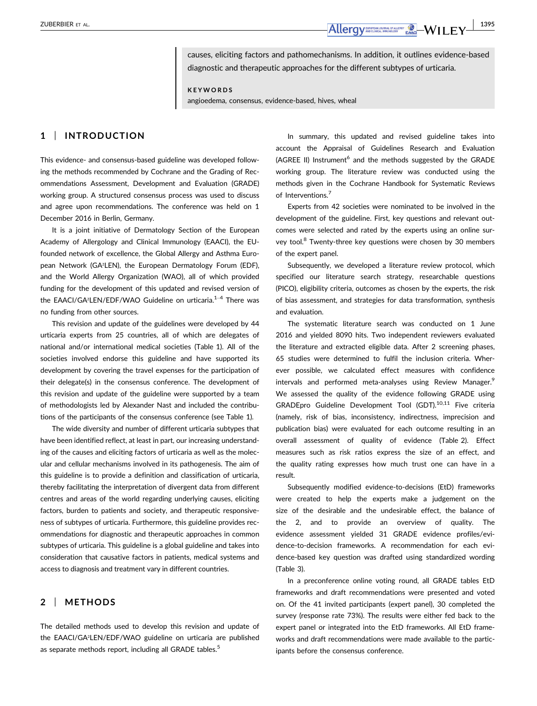causes, eliciting factors and pathomechanisms. In addition, it outlines evidence-based diagnostic and therapeutic approaches for the different subtypes of urticaria.

**KEYWORDS**

angioedema, consensus, evidence-based, hives, wheal

# **1** | **INTRODUCTION**

This evidence- and consensus-based guideline was developed following the methods recommended by Cochrane and the Grading of Recommendations Assessment, Development and Evaluation (GRADE) working group. A structured consensus process was used to discuss and agree upon recommendations. The conference was held on 1 December 2016 in Berlin, Germany.

It is a joint initiative of Dermatology Section of the European Academy of Allergology and Clinical Immunology (EAACI), the EUfounded network of excellence, the Global Allergy and Asthma European Network (GA²LEN), the European Dermatology Forum (EDF), and the World Allergy Organization (WAO), all of which provided funding for the development of this updated and revised version of the EAACI/GA<sup>2</sup>LEN/EDF/WAO Guideline on urticaria.<sup>1-4</sup> There was no funding from other sources.

This revision and update of the guidelines were developed by 44 urticaria experts from 25 countries, all of which are delegates of national and/or international medical societies (Table 1). All of the societies involved endorse this guideline and have supported its development by covering the travel expenses for the participation of their delegate(s) in the consensus conference. The development of this revision and update of the guideline were supported by a team of methodologists led by Alexander Nast and included the contributions of the participants of the consensus conference (see Table 1).

The wide diversity and number of different urticaria subtypes that have been identified reflect, at least in part, our increasing understanding of the causes and eliciting factors of urticaria as well as the molecular and cellular mechanisms involved in its pathogenesis. The aim of this guideline is to provide a definition and classification of urticaria, thereby facilitating the interpretation of divergent data from different centres and areas of the world regarding underlying causes, eliciting factors, burden to patients and society, and therapeutic responsiveness of subtypes of urticaria. Furthermore, this guideline provides recommendations for diagnostic and therapeutic approaches in common subtypes of urticaria. This guideline is a global guideline and takes into consideration that causative factors in patients, medical systems and access to diagnosis and treatment vary in different countries.

# **2** | **METHODS**

The detailed methods used to develop this revision and update of the EAACI/GA²LEN/EDF/WAO guideline on urticaria are published as separate methods report, including all GRADE tables.<sup>5</sup>

In summary, this updated and revised guideline takes into account the Appraisal of Guidelines Research and Evaluation  $(AGREE \text{ II})$  Instrument<sup>6</sup> and the methods suggested by the GRADE working group. The literature review was conducted using the methods given in the Cochrane Handbook for Systematic Reviews of Interventions.<sup>7</sup>

Experts from 42 societies were nominated to be involved in the development of the guideline. First, key questions and relevant outcomes were selected and rated by the experts using an online survey tool.<sup>8</sup> Twenty-three key questions were chosen by 30 members of the expert panel.

Subsequently, we developed a literature review protocol, which specified our literature search strategy, researchable questions (PICO), eligibility criteria, outcomes as chosen by the experts, the risk of bias assessment, and strategies for data transformation, synthesis and evaluation.

The systematic literature search was conducted on 1 June 2016 and yielded 8090 hits. Two independent reviewers evaluated the literature and extracted eligible data. After 2 screening phases, 65 studies were determined to fulfil the inclusion criteria. Wherever possible, we calculated effect measures with confidence intervals and performed meta-analyses using Review Manager.<sup>9</sup> We assessed the quality of the evidence following GRADE using GRADEpro Guideline Development Tool (GDT).10,11 Five criteria (namely, risk of bias, inconsistency, indirectness, imprecision and publication bias) were evaluated for each outcome resulting in an overall assessment of quality of evidence (Table 2). Effect measures such as risk ratios express the size of an effect, and the quality rating expresses how much trust one can have in a result.

Subsequently modified evidence-to-decisions (EtD) frameworks were created to help the experts make a judgement on the size of the desirable and the undesirable effect, the balance of the 2, and to provide an overview of quality. The evidence assessment yielded 31 GRADE evidence profiles/evidence-to-decision frameworks. A recommendation for each evidence-based key question was drafted using standardized wording (Table 3).

In a preconference online voting round, all GRADE tables EtD frameworks and draft recommendations were presented and voted on. Of the 41 invited participants (expert panel), 30 completed the survey (response rate 73%). The results were either fed back to the expert panel or integrated into the EtD frameworks. All EtD frameworks and draft recommendations were made available to the participants before the consensus conference.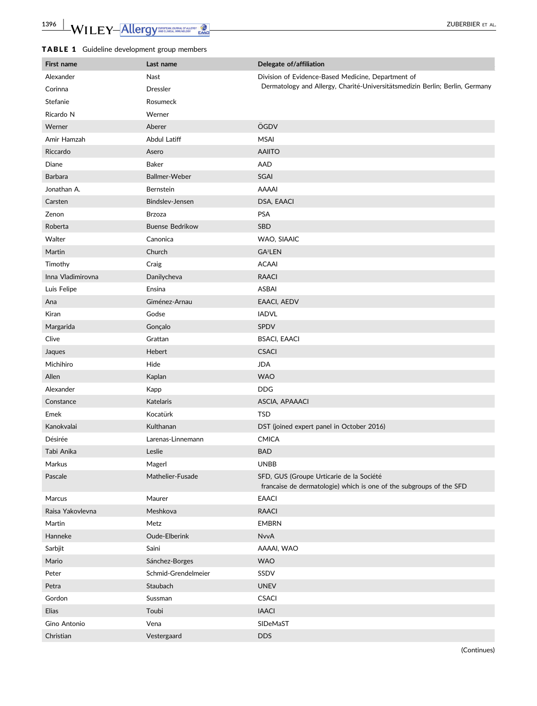# TABLE 1 Guideline development group members

| First name        | Last name              | Delegate of/affiliation                                                                                         |
|-------------------|------------------------|-----------------------------------------------------------------------------------------------------------------|
| Alexander         | Nast                   | Division of Evidence-Based Medicine, Department of                                                              |
| Corinna           | <b>Dressler</b>        | Dermatology and Allergy, Charité-Universitätsmedizin Berlin; Berlin, Germany                                    |
| Stefanie          | Rosumeck               |                                                                                                                 |
| Ricardo N         | Werner                 |                                                                                                                 |
| Werner            | Aberer                 | ÖGDV                                                                                                            |
| Amir Hamzah       | Abdul Latiff           | <b>MSAI</b>                                                                                                     |
| Riccardo          | Asero                  | <b>AAIITO</b>                                                                                                   |
| Diane             | Baker                  | AAD                                                                                                             |
| <b>Barbara</b>    | Ballmer-Weber          | <b>SGAI</b>                                                                                                     |
| Jonathan A.       | Bernstein              | <b>AAAAI</b>                                                                                                    |
| Carsten           | Bindslev-Jensen        | DSA, EAACI                                                                                                      |
| Zenon             | <b>Brzoza</b>          | <b>PSA</b>                                                                                                      |
| Roberta           | <b>Buense Bedrikow</b> | SBD                                                                                                             |
| Walter            | Canonica               | WAO, SIAAIC                                                                                                     |
| Martin            | Church                 | GA <sup>2</sup> LEN                                                                                             |
| Timothy           | Craig                  | <b>ACAAI</b>                                                                                                    |
| Inna Vladimirovna | Danilycheva            | <b>RAACI</b>                                                                                                    |
| Luis Felipe       | Ensina                 | <b>ASBAI</b>                                                                                                    |
| Ana               | Giménez-Arnau          | EAACI, AEDV                                                                                                     |
| Kiran             | Godse                  | <b>IADVL</b>                                                                                                    |
| Margarida         | Gonçalo                | SPDV                                                                                                            |
| Clive             | Grattan                | <b>BSACI, EAACI</b>                                                                                             |
| Jaques            | Hebert                 | <b>CSACI</b>                                                                                                    |
| Michihiro         | Hide                   | <b>JDA</b>                                                                                                      |
| Allen             | Kaplan                 | <b>WAO</b>                                                                                                      |
| Alexander         | Kapp                   | <b>DDG</b>                                                                                                      |
| Constance         | <b>Katelaris</b>       | ASCIA, APAAACI                                                                                                  |
| Emek              | Kocatürk               | <b>TSD</b>                                                                                                      |
| Kanokvalai        | Kulthanan              | DST (joined expert panel in October 2016)                                                                       |
| Désirée           | Larenas-Linnemann      | <b>CMICA</b>                                                                                                    |
| Tabi Anika        | Leslie                 | <b>BAD</b>                                                                                                      |
| Markus            | Magerl                 | <b>UNBB</b>                                                                                                     |
| Pascale           | Mathelier-Fusade       | SFD, GUS (Groupe Urticarie de la Société<br>francaise de dermatologie) which is one of the subgroups of the SFD |
| Marcus            | Maurer                 | <b>EAACI</b>                                                                                                    |
| Raisa Yakovlevna  | Meshkova               | <b>RAACI</b>                                                                                                    |
| Martin            | Metz                   | <b>EMBRN</b>                                                                                                    |
| Hanneke           | Oude-Elberink          | <b>NvvA</b>                                                                                                     |
| Sarbjit           | Saini                  | AAAAI, WAO                                                                                                      |
| Mario             | Sánchez-Borges         | <b>WAO</b>                                                                                                      |
| Peter             | Schmid-Grendelmeier    | SSDV                                                                                                            |
| Petra             | Staubach               | <b>UNEV</b>                                                                                                     |
| Gordon            | Sussman                | <b>CSACI</b>                                                                                                    |
| Elias             | Toubi                  | <b>IAACI</b>                                                                                                    |
| Gino Antonio      | Vena                   | SIDeMaST                                                                                                        |
| Christian         | Vestergaard            | <b>DDS</b>                                                                                                      |

(Continues)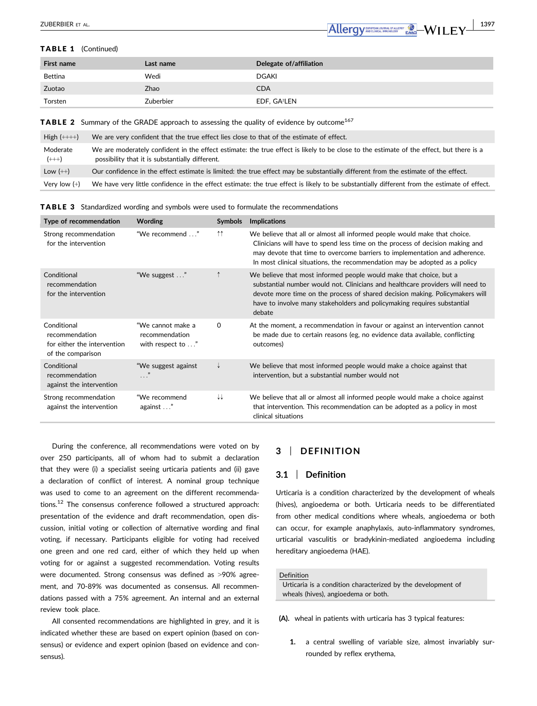

#### TABLE 1 (Continued)

| First name | Last name | Delegate of/affiliation  |
|------------|-----------|--------------------------|
| Bettina    | Wedi      | DGAKI                    |
| Zuotao     | Zhao      | <b>CDA</b>               |
| Torsten    | Zuberbier | EDF, GA <sup>2</sup> LEN |

**TABLE 2** Summary of the GRADE approach to assessing the quality of evidence by outcome<sup>167</sup>

| $High (++++)$      | We are very confident that the true effect lies close to that of the estimate of effect.                                                                                                   |
|--------------------|--------------------------------------------------------------------------------------------------------------------------------------------------------------------------------------------|
| Moderate<br>$(++)$ | We are moderately confident in the effect estimate: the true effect is likely to be close to the estimate of the effect, but there is a<br>possibility that it is substantially different. |
| Low $(++)$         | Our confidence in the effect estimate is limited: the true effect may be substantially different from the estimate of the effect.                                                          |
| Very low $(+)$     | We have very little confidence in the effect estimate: the true effect is likely to be substantially different from the estimate of effect.                                                |

TABLE 3 Standardized wording and symbols were used to formulate the recommendations

| Type of recommendation                                                            | <b>Wording</b>                                           | <b>Symbols</b>      | <b>Implications</b>                                                                                                                                                                                                                                                                                                       |
|-----------------------------------------------------------------------------------|----------------------------------------------------------|---------------------|---------------------------------------------------------------------------------------------------------------------------------------------------------------------------------------------------------------------------------------------------------------------------------------------------------------------------|
| Strong recommendation<br>for the intervention                                     | "We recommend "                                          | $\uparrow \uparrow$ | We believe that all or almost all informed people would make that choice.<br>Clinicians will have to spend less time on the process of decision making and<br>may devote that time to overcome barriers to implementation and adherence.<br>In most clinical situations, the recommendation may be adopted as a policy    |
| Conditional<br>recommendation<br>for the intervention                             | "We suggest "                                            |                     | We believe that most informed people would make that choice, but a<br>substantial number would not. Clinicians and healthcare providers will need to<br>devote more time on the process of shared decision making. Policymakers will<br>have to involve many stakeholders and policymaking requires substantial<br>debate |
| Conditional<br>recommendation<br>for either the intervention<br>of the comparison | "We cannot make a<br>recommendation<br>with respect to " | 0                   | At the moment, a recommendation in favour or against an intervention cannot<br>be made due to certain reasons (eg, no evidence data available, conflicting<br>outcomes)                                                                                                                                                   |
| Conditional<br>recommendation<br>against the intervention                         | "We suggest against<br>$\cdots$                          |                     | We believe that most informed people would make a choice against that<br>intervention, but a substantial number would not                                                                                                                                                                                                 |
| Strong recommendation<br>against the intervention                                 | "We recommend<br>against "                               | ↓↓                  | We believe that all or almost all informed people would make a choice against<br>that intervention. This recommendation can be adopted as a policy in most<br>clinical situations                                                                                                                                         |

During the conference, all recommendations were voted on by over 250 participants, all of whom had to submit a declaration that they were (i) a specialist seeing urticaria patients and (ii) gave a declaration of conflict of interest. A nominal group technique was used to come to an agreement on the different recommendations.12 The consensus conference followed a structured approach: presentation of the evidence and draft recommendation, open discussion, initial voting or collection of alternative wording and final voting, if necessary. Participants eligible for voting had received one green and one red card, either of which they held up when voting for or against a suggested recommendation. Voting results were documented. Strong consensus was defined as >90% agreement, and 70-89% was documented as consensus. All recommendations passed with a 75% agreement. An internal and an external review took place.

All consented recommendations are highlighted in grey, and it is indicated whether these are based on expert opinion (based on consensus) or evidence and expert opinion (based on evidence and consensus).

# **3** | **DEFINITION**

## **3.1** | **Definition**

Urticaria is a condition characterized by the development of wheals (hives), angioedema or both. Urticaria needs to be differentiated from other medical conditions where wheals, angioedema or both can occur, for example anaphylaxis, auto-inflammatory syndromes, urticarial vasculitis or bradykinin-mediated angioedema including hereditary angioedema (HAE).

#### Definition

Urticaria is a condition characterized by the development of wheals (hives), angioedema or both.

**(A).** wheal in patients with urticaria has 3 typical features:

**1.** a central swelling of variable size, almost invariably surrounded by reflex erythema,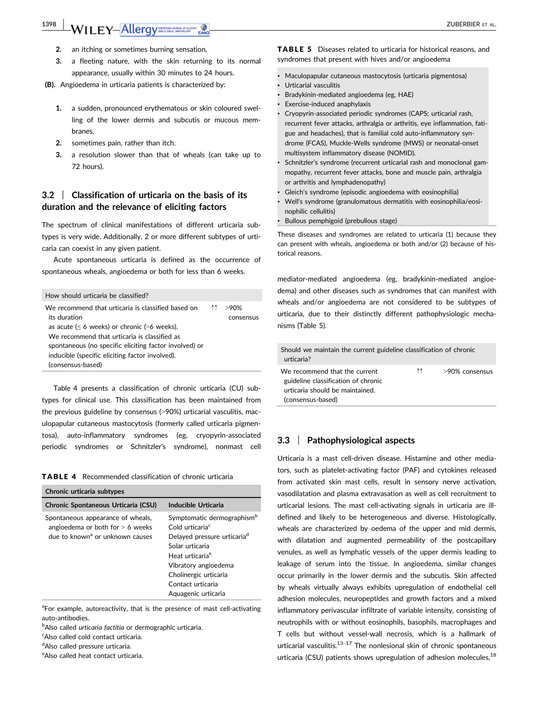# **1398 | WILEY-Allergy DRIGHTER ALLER ALLER ALLER ALLER ALLER ALLER ALLER ALLER ALL**

- **2.** an itching or sometimes burning sensation,
- **3.** a fleeting nature, with the skin returning to its normal appearance, usually within 30 minutes to 24 hours.

**(B).** Angioedema in urticaria patients is characterized by:

- **1.** a sudden, pronounced erythematous or skin coloured swelling of the lower dermis and subcutis or mucous membranes,
- **2.** sometimes pain, rather than itch.
- **3.** a resolution slower than that of wheals (can take up to 72 hours).

## **3.2** | **Classification of urticaria on the basis of its duration and the relevance of eliciting factors**

The spectrum of clinical manifestations of different urticaria subtypes is very wide. Additionally, 2 or more different subtypes of urticaria can coexist in any given patient.

Acute spontaneous urticaria is defined as the occurrence of spontaneous wheals, angioedema or both for less than 6 weeks.

| How should urticaria be classified?                                                                                                                                                                                                                                                 |    |                      |
|-------------------------------------------------------------------------------------------------------------------------------------------------------------------------------------------------------------------------------------------------------------------------------------|----|----------------------|
| We recommend that urticaria is classified based on<br>its duration<br>as acute $(\leq 6$ weeks) or chronic (>6 weeks).<br>We recommend that urticaria is classified as<br>spontaneous (no specific eliciting factor involved) or<br>inducible (specific eliciting factor involved). | ↑↑ | $>90\%$<br>consensus |
| (consensus-based)                                                                                                                                                                                                                                                                   |    |                      |

Table 4 presents a classification of chronic urticaria (CU) subtypes for clinical use. This classification has been maintained from the previous guideline by consensus (>90%) urticarial vasculitis, maculopapular cutaneous mastocytosis (formerly called urticaria pigmentosa), auto-inflammatory syndromes (eg, cryopyrin-associated periodic syndromes or Schnitzler's syndrome), nonmast cell

TABLE 4 Recommended classification of chronic urticaria

| Chronic urticaria subtypes                                                                                             |                                                                                                                                                                                                                                                                 |
|------------------------------------------------------------------------------------------------------------------------|-----------------------------------------------------------------------------------------------------------------------------------------------------------------------------------------------------------------------------------------------------------------|
| Chronic Spontaneous Urticaria (CSU)                                                                                    | Inducible Urticaria                                                                                                                                                                                                                                             |
| Spontaneous appearance of wheals,<br>angioedema or both for $> 6$ weeks<br>due to known <sup>a</sup> or unknown causes | Symptomatic dermographism <sup>b</sup><br>Cold urticaria <sup>c</sup><br>Delayed pressure urticaria <sup>d</sup><br>Solar urticaria<br>Heat urticaria <sup>e</sup><br>Vibratory angioedema<br>Cholinergic urticaria<br>Contact urticaria<br>Aquagenic urticaria |

<sup>a</sup>For example, autoreactivity, that is the presence of mast cell-activating auto-antibodies.

b Also called *urticaria factitia* or dermographic urticaria.

<sup>c</sup>Also called cold contact urticaria.

<sup>d</sup>Also called pressure urticaria.

eAlso called heat contact urticaria.

TABLE 5 Diseases related to urticaria for historical reasons, and syndromes that present with hives and/or angioedema

- Maculopapular cutaneous mastocytosis (urticaria pigmentosa)
- Urticarial vasculitis
- Bradykinin-mediated angioedema (eg, HAE)
- Exercise-induced anaphylaxis

• Cryopyrin-associated periodic syndromes (CAPS; urticarial rash, recurrent fever attacks, arthralgia or arthritis, eye inflammation, fatigue and headaches), that is familial cold auto-inflammatory syndrome (FCAS), Muckle-Wells syndrome (MWS) or neonatal-onset multisystem inflammatory disease (NOMID).

- Schnitzler's syndrome (recurrent urticarial rash and monoclonal gammopathy, recurrent fever attacks, bone and muscle pain, arthralgia or arthritis and lymphadenopathy)
- Gleich's syndrome (episodic angioedema with eosinophilia)
- Well's syndrome (granulomatous dermatitis with eosinophilia/eosinophilic cellulitis)
- Bullous pemphigoid (prebullous stage)

These diseases and syndromes are related to urticaria (1) because they can present with wheals, angioedema or both and/or (2) because of historical reasons.

mediator-mediated angioedema (eg, bradykinin-mediated angioedema) and other diseases such as syndromes that can manifest with wheals and/or angioedema are not considered to be subtypes of urticaria, due to their distinctly different pathophysiologic mechanisms (Table 5).

| Should we maintain the current guideline classification of chronic<br>urticaria?                                             |    |                |
|------------------------------------------------------------------------------------------------------------------------------|----|----------------|
| We recommend that the current<br>guideline classification of chronic<br>urticaria should be maintained.<br>(consensus-based) | ↑↑ | >90% consensus |

#### **3.3** | **Pathophysiological aspects**

Urticaria is a mast cell-driven disease. Histamine and other mediators, such as platelet-activating factor (PAF) and cytokines released from activated skin mast cells, result in sensory nerve activation, vasodilatation and plasma extravasation as well as cell recruitment to urticarial lesions. The mast cell-activating signals in urticaria are illdefined and likely to be heterogeneous and diverse. Histologically, wheals are characterized by oedema of the upper and mid dermis, with dilatation and augmented permeability of the postcapillary venules, as well as lymphatic vessels of the upper dermis leading to leakage of serum into the tissue. In angioedema, similar changes occur primarily in the lower dermis and the subcutis. Skin affected by wheals virtually always exhibits upregulation of endothelial cell adhesion molecules, neuropeptides and growth factors and a mixed inflammatory perivascular infiltrate of variable intensity, consisting of neutrophils with or without eosinophils, basophils, macrophages and T cells but without vessel-wall necrosis, which is a hallmark of urticarial vasculitis. $13-17$  The nonlesional skin of chronic spontaneous urticaria (CSU) patients shows upregulation of adhesion molecules,  $18$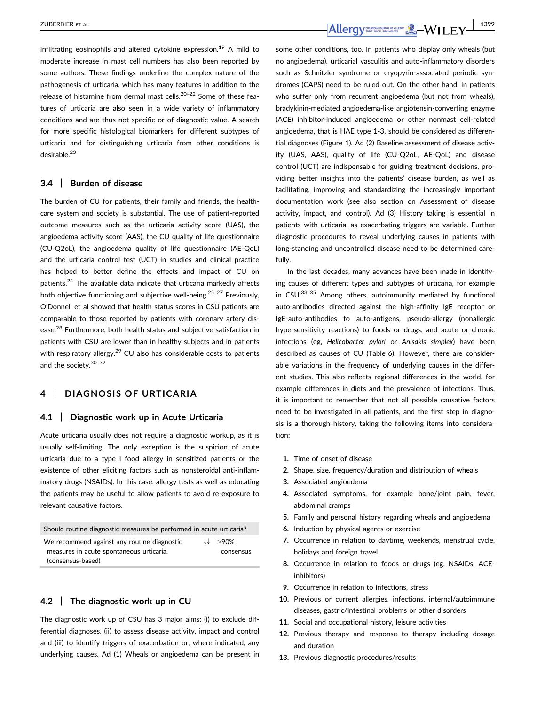infiltrating eosinophils and altered cytokine expression.<sup>19</sup> A mild to moderate increase in mast cell numbers has also been reported by some authors. These findings underline the complex nature of the pathogenesis of urticaria, which has many features in addition to the release of histamine from dermal mast cells.<sup>20–22</sup> Some of these features of urticaria are also seen in a wide variety of inflammatory conditions and are thus not specific or of diagnostic value. A search for more specific histological biomarkers for different subtypes of urticaria and for distinguishing urticaria from other conditions is desirable.<sup>23</sup>

#### **3.4** | **Burden of disease**

The burden of CU for patients, their family and friends, the healthcare system and society is substantial. The use of patient-reported outcome measures such as the urticaria activity score (UAS), the angioedema activity score (AAS), the CU quality of life questionnaire (CU-Q2oL), the angioedema quality of life questionnaire (AE-QoL) and the urticaria control test (UCT) in studies and clinical practice has helped to better define the effects and impact of CU on patients.24 The available data indicate that urticaria markedly affects both objective functioning and subjective well-being.<sup>25–27</sup> Previously, O'Donnell et al showed that health status scores in CSU patients are comparable to those reported by patients with coronary artery disease.28 Furthermore, both health status and subjective satisfaction in patients with CSU are lower than in healthy subjects and in patients with respiratory allergy. $29$  CU also has considerable costs to patients and the society.30–<sup>32</sup>

# **4** | **DIAGNOSIS OF URTICARIA**

#### **4.1** | **Diagnostic work up in Acute Urticaria**

Acute urticaria usually does not require a diagnostic workup, as it is usually self-limiting. The only exception is the suspicion of acute urticaria due to a type I food allergy in sensitized patients or the existence of other eliciting factors such as nonsteroidal anti-inflammatory drugs (NSAIDs). In this case, allergy tests as well as educating the patients may be useful to allow patients to avoid re-exposure to relevant causative factors.

|  |  |  | Should routine diagnostic measures be performed in acute urticaria? |
|--|--|--|---------------------------------------------------------------------|
|  |  |  |                                                                     |

| We recommend against any routine diagnostic | $\downarrow \downarrow$ >90% |
|---------------------------------------------|------------------------------|
| measures in acute spontaneous urticaria.    | consensus                    |
| (consensus-based)                           |                              |

## **4.2** | **The diagnostic work up in CU**

The diagnostic work up of CSU has 3 major aims: (i) to exclude differential diagnoses, (ii) to assess disease activity, impact and control and (iii) to identify triggers of exacerbation or, where indicated, any underlying causes. Ad (1) Wheals or angioedema can be present in

**zuberbier et al.** 1399<br>**Allergy Angeliser (1399)** EACLE TIME EXPERIMENT EACLE TIME EXP

some other conditions, too. In patients who display only wheals (but no angioedema), urticarial vasculitis and auto-inflammatory disorders such as Schnitzler syndrome or cryopyrin-associated periodic syndromes (CAPS) need to be ruled out. On the other hand, in patients who suffer only from recurrent angioedema (but not from wheals), bradykinin-mediated angioedema-like angiotensin-converting enzyme (ACE) inhibitor-induced angioedema or other nonmast cell-related angioedema, that is HAE type 1-3, should be considered as differential diagnoses (Figure 1). Ad (2) Baseline assessment of disease activity (UAS, AAS), quality of life (CU-Q2oL, AE-QoL) and disease control (UCT) are indispensable for guiding treatment decisions, providing better insights into the patients' disease burden, as well as facilitating, improving and standardizing the increasingly important documentation work (see also section on Assessment of disease activity, impact, and control). Ad (3) History taking is essential in patients with urticaria, as exacerbating triggers are variable. Further diagnostic procedures to reveal underlying causes in patients with long-standing and uncontrolled disease need to be determined carefully.

In the last decades, many advances have been made in identifying causes of different types and subtypes of urticaria, for example in  $CSU^{33-35}$  Among others, autoimmunity mediated by functional auto-antibodies directed against the high-affinity IgE receptor or IgE-auto-antibodies to auto-antigens, pseudo-allergy (nonallergic hypersensitivity reactions) to foods or drugs, and acute or chronic infections (eg, *Helicobacter pylori* or *Anisakis simplex*) have been described as causes of CU (Table 6). However, there are considerable variations in the frequency of underlying causes in the different studies. This also reflects regional differences in the world, for example differences in diets and the prevalence of infections. Thus, it is important to remember that not all possible causative factors need to be investigated in all patients, and the first step in diagnosis is a thorough history, taking the following items into consideration:

- **1.** Time of onset of disease
- **2.** Shape, size, frequency/duration and distribution of wheals
- **3.** Associated angioedema
- **4.** Associated symptoms, for example bone/joint pain, fever, abdominal cramps
- **5.** Family and personal history regarding wheals and angioedema
- **6.** Induction by physical agents or exercise
- **7.** Occurrence in relation to daytime, weekends, menstrual cycle, holidays and foreign travel
- **8.** Occurrence in relation to foods or drugs (eg, NSAIDs, ACEinhibitors)
- **9.** Occurrence in relation to infections, stress
- **10.** Previous or current allergies, infections, internal/autoimmune diseases, gastric/intestinal problems or other disorders
- **11.** Social and occupational history, leisure activities
- **12.** Previous therapy and response to therapy including dosage and duration
- **13.** Previous diagnostic procedures/results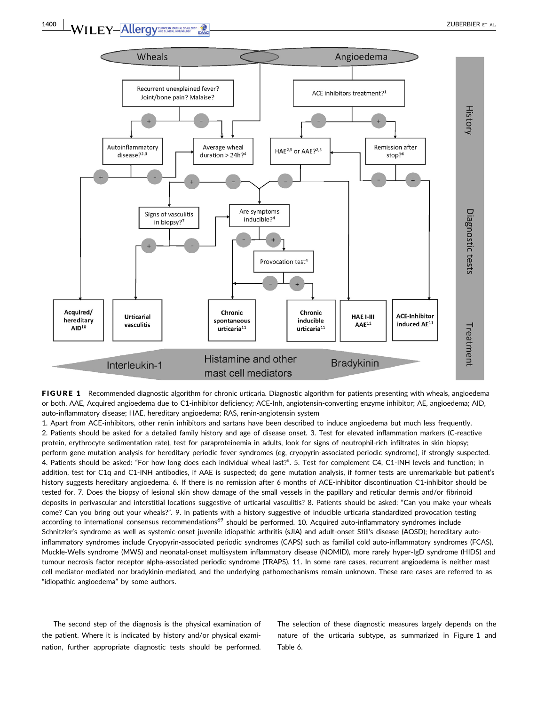

FIGURE 1 Recommended diagnostic algorithm for chronic urticaria. Diagnostic algorithm for patients presenting with wheals, angioedema or both. AAE, Acquired angioedema due to C1-inhibitor deficiency; ACE-Inh, angiotensin-converting enzyme inhibitor; AE, angioedema; AID, auto-inflammatory disease; HAE, hereditary angioedema; RAS, renin-angiotensin system

1. Apart from ACE-inhibitors, other renin inhibitors and sartans have been described to induce angioedema but much less frequently. 2. Patients should be asked for a detailed family history and age of disease onset. 3. Test for elevated inflammation markers (C-reactive protein, erythrocyte sedimentation rate), test for paraproteinemia in adults, look for signs of neutrophil-rich infiltrates in skin biopsy; perform gene mutation analysis for hereditary periodic fever syndromes (eg, cryopyrin-associated periodic syndrome), if strongly suspected. 4. Patients should be asked: "For how long does each individual wheal last?". 5. Test for complement C4, C1-INH levels and function; in addition, test for C1q and C1-INH antibodies, if AAE is suspected; do gene mutation analysis, if former tests are unremarkable but patient's history suggests hereditary angioedema. 6. If there is no remission after 6 months of ACE-inhibitor discontinuation C1-inhibitor should be tested for. 7. Does the biopsy of lesional skin show damage of the small vessels in the papillary and reticular dermis and/or fibrinoid deposits in perivascular and interstitial locations suggestive of urticarial vasculitis? 8. Patients should be asked: "Can you make your wheals come? Can you bring out your wheals?". 9. In patients with a history suggestive of inducible urticaria standardized provocation testing according to international consensus recommendations<sup>69</sup> should be performed. 10. Acquired auto-inflammatory syndromes include Schnitzler's syndrome as well as systemic-onset juvenile idiopathic arthritis (sJIA) and adult-onset Still's disease (AOSD); hereditary autoinflammatory syndromes include Cryopyrin-associated periodic syndromes (CAPS) such as familial cold auto-inflammatory syndromes (FCAS), Muckle-Wells syndrome (MWS) and neonatal-onset multisystem inflammatory disease (NOMID), more rarely hyper-IgD syndrome (HIDS) and tumour necrosis factor receptor alpha-associated periodic syndrome (TRAPS). 11. In some rare cases, recurrent angioedema is neither mast cell mediator-mediated nor bradykinin-mediated, and the underlying pathomechanisms remain unknown. These rare cases are referred to as "idiopathic angioedema" by some authors.

The second step of the diagnosis is the physical examination of the patient. Where it is indicated by history and/or physical examination, further appropriate diagnostic tests should be performed. The selection of these diagnostic measures largely depends on the nature of the urticaria subtype, as summarized in Figure 1 and Table 6.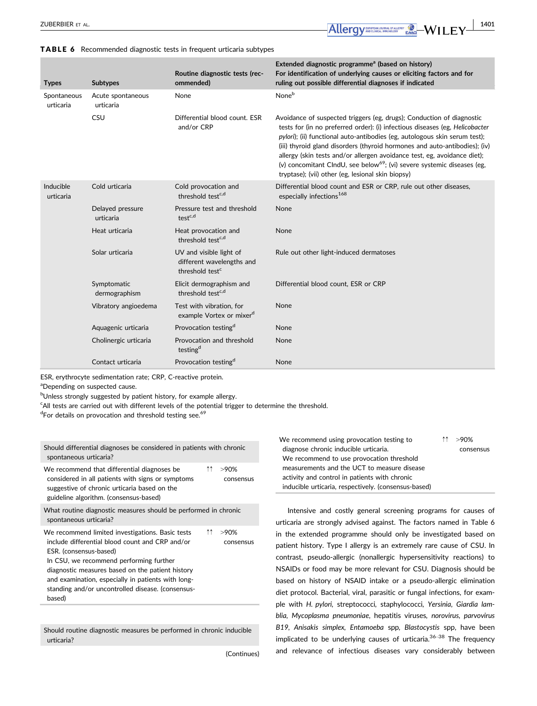#### TABLE 6 Recommended diagnostic tests in frequent urticaria subtypes

| <b>Types</b>             | <b>Subtypes</b>                | Routine diagnostic tests (rec-<br>ommended)                                         | Extended diagnostic programme <sup>a</sup> (based on history)<br>For identification of underlying causes or eliciting factors and for<br>ruling out possible differential diagnoses if indicated                                                                                                                                                                                                                                                                                                                                          |
|--------------------------|--------------------------------|-------------------------------------------------------------------------------------|-------------------------------------------------------------------------------------------------------------------------------------------------------------------------------------------------------------------------------------------------------------------------------------------------------------------------------------------------------------------------------------------------------------------------------------------------------------------------------------------------------------------------------------------|
| Spontaneous<br>urticaria | Acute spontaneous<br>urticaria | None                                                                                | None <sup>b</sup>                                                                                                                                                                                                                                                                                                                                                                                                                                                                                                                         |
|                          | CSU                            | Differential blood count. FSR<br>and/or CRP                                         | Avoidance of suspected triggers (eg, drugs); Conduction of diagnostic<br>tests for (in no preferred order): (i) infectious diseases (eg, Helicobacter<br>pylori); (ii) functional auto-antibodies (eg, autologous skin serum test);<br>(iii) thyroid gland disorders (thyroid hormones and auto-antibodies); (iv)<br>allergy (skin tests and/or allergen avoidance test, eg, avoidance diet);<br>(v) concomitant CIndU, see below <sup>69</sup> ; (vi) severe systemic diseases (eg,<br>tryptase); (vii) other (eg, lesional skin biopsy) |
| Inducible<br>urticaria   | Cold urticaria                 | Cold provocation and<br>threshold test <sup>c,d</sup>                               | Differential blood count and ESR or CRP, rule out other diseases,<br>especially infections <sup>168</sup>                                                                                                                                                                                                                                                                                                                                                                                                                                 |
|                          | Delayed pressure<br>urticaria  | Pressure test and threshold<br>test <sup>c,d</sup>                                  | <b>None</b>                                                                                                                                                                                                                                                                                                                                                                                                                                                                                                                               |
|                          | Heat urticaria                 | Heat provocation and<br>threshold test <sup>c,d</sup>                               | None                                                                                                                                                                                                                                                                                                                                                                                                                                                                                                                                      |
|                          | Solar urticaria                | UV and visible light of<br>different wavelengths and<br>threshold test <sup>c</sup> | Rule out other light-induced dermatoses                                                                                                                                                                                                                                                                                                                                                                                                                                                                                                   |
|                          | Symptomatic<br>dermographism   | Elicit dermographism and<br>threshold test <sup>c,d</sup>                           | Differential blood count, ESR or CRP                                                                                                                                                                                                                                                                                                                                                                                                                                                                                                      |
|                          | Vibratory angioedema           | Test with vibration, for<br>example Vortex or mixer <sup>d</sup>                    | None                                                                                                                                                                                                                                                                                                                                                                                                                                                                                                                                      |
|                          | Aquagenic urticaria            | Provocation testing <sup>d</sup>                                                    | None                                                                                                                                                                                                                                                                                                                                                                                                                                                                                                                                      |
|                          | Cholinergic urticaria          | Provocation and threshold<br>testing <sup>d</sup>                                   | None                                                                                                                                                                                                                                                                                                                                                                                                                                                                                                                                      |
|                          | Contact urticaria              | Provocation testing <sup>d</sup>                                                    | None                                                                                                                                                                                                                                                                                                                                                                                                                                                                                                                                      |

ESR, erythrocyte sedimentation rate; CRP, C-reactive protein.

<sup>a</sup>Depending on suspected cause.

<sup>b</sup>Unless strongly suggested by patient history, for example allergy.

<sup>c</sup>All tests are carried out with different levels of the potential trigger to determine the threshold.

<sup>d</sup>For details on provocation and threshold testing see.<sup>69</sup>

| Should differential diagnoses be considered in patients with chronic<br>spontaneous urticaria?                                                                                                                                                                                                                                                    |      |                      |
|---------------------------------------------------------------------------------------------------------------------------------------------------------------------------------------------------------------------------------------------------------------------------------------------------------------------------------------------------|------|----------------------|
| We recommend that differential diagnoses be<br>considered in all patients with signs or symptoms<br>suggestive of chronic urticaria based on the<br>guideline algorithm. (consensus-based)                                                                                                                                                        | ተተ ነ | >90%<br>consensus    |
| What routine diagnostic measures should be performed in chronic<br>spontaneous urticaria?                                                                                                                                                                                                                                                         |      |                      |
| We recommend limited investigations. Basic tests<br>include differential blood count and CRP and/or<br>ESR. (consensus-based)<br>In CSU, we recommend performing further<br>diagnostic measures based on the patient history<br>and examination, especially in patients with long-<br>standing and/or uncontrolled disease. (consensus-<br>based) | ↑↑   | $>90\%$<br>consensus |

Should routine diagnostic measures be performed in chronic inducible urticaria?

(Continues)

| We recommend using provocation testing to            | 1↑ >90%   |
|------------------------------------------------------|-----------|
| diagnose chronic inducible urticaria.                | consensus |
| We recommend to use provocation threshold            |           |
| measurements and the UCT to measure disease          |           |
| activity and control in patients with chronic        |           |
| inducible urticaria, respectively. (consensus-based) |           |

Intensive and costly general screening programs for causes of urticaria are strongly advised against. The factors named in Table 6 in the extended programme should only be investigated based on patient history. Type I allergy is an extremely rare cause of CSU. In contrast, pseudo-allergic (nonallergic hypersensitivity reactions) to NSAIDs or food may be more relevant for CSU. Diagnosis should be based on history of NSAID intake or a pseudo-allergic elimination diet protocol. Bacterial, viral, parasitic or fungal infections, for example with *H. pylori,* streptococci*,* staphylococci*, Yersinia, Giardia lamblia, Mycoplasma pneumoniae*, hepatitis viruses*, norovirus, parvovirus B19, Anisakis simplex, Entamoeba* spp*, Blastocystis* spp, have been implicated to be underlying causes of urticaria. $36-38$  The frequency and relevance of infectious diseases vary considerably between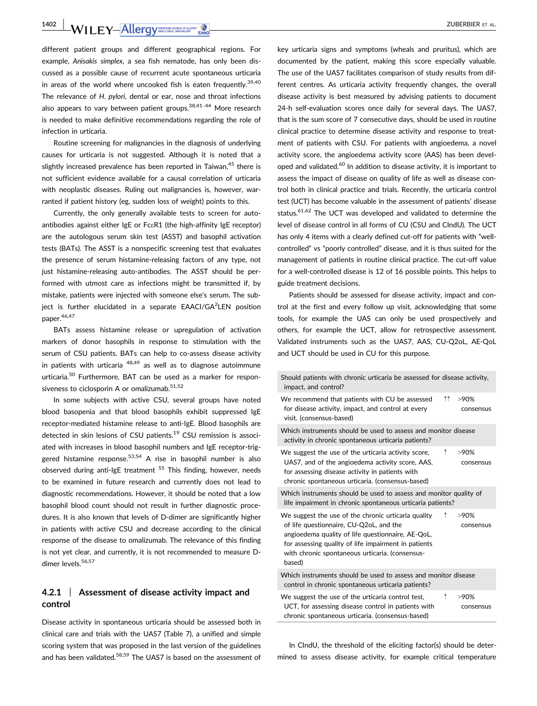**1402 | WILEY-Allergy DRIVER ALLEY ALLER ALLER ALLER ALLER ALLER** 

different patient groups and different geographical regions. For example, *Anisakis simplex*, a sea fish nematode, has only been discussed as a possible cause of recurrent acute spontaneous urticaria in areas of the world where uncooked fish is eaten frequently.<sup>39,40</sup> The relevance of *H. pylori*, dental or ear, nose and throat infections also appears to vary between patient groups.<sup>38,41-44</sup> More research is needed to make definitive recommendations regarding the role of infection in urticaria.

Routine screening for malignancies in the diagnosis of underlying causes for urticaria is not suggested. Although it is noted that a slightly increased prevalence has been reported in Taiwan,<sup>45</sup> there is not sufficient evidence available for a causal correlation of urticaria with neoplastic diseases. Ruling out malignancies is, however, warranted if patient history (eg, sudden loss of weight) points to this.

Currently, the only generally available tests to screen for autoantibodies against either IgE or FceR1 (the high-affinity IgE receptor) are the autologous serum skin test (ASST) and basophil activation tests (BATs). The ASST is a nonspecific screening test that evaluates the presence of serum histamine-releasing factors of any type, not just histamine-releasing auto-antibodies. The ASST should be performed with utmost care as infections might be transmitted if, by mistake, patients were injected with someone else's serum. The subject is further elucidated in a separate EAACI/GA<sup>2</sup>LEN position paper.<sup>46,47</sup>

BATs assess histamine release or upregulation of activation markers of donor basophils in response to stimulation with the serum of CSU patients. BATs can help to co-assess disease activity in patients with urticaria  $48,49$  as well as to diagnose autoimmune urticaria.<sup>50</sup> Furthermore, BAT can be used as a marker for responsiveness to ciclosporin A or omalizumab.<sup>51,52</sup>

In some subjects with active CSU, several groups have noted blood basopenia and that blood basophils exhibit suppressed IgE receptor-mediated histamine release to anti-IgE. Blood basophils are detected in skin lesions of CSU patients.<sup>19</sup> CSU remission is associated with increases in blood basophil numbers and IgE receptor-triggered histamine response.<sup>53,54</sup> A rise in basophil number is also observed during anti-IgE treatment <sup>55</sup> This finding, however, needs to be examined in future research and currently does not lead to diagnostic recommendations. However, it should be noted that a low basophil blood count should not result in further diagnostic procedures. It is also known that levels of D-dimer are significantly higher in patients with active CSU and decrease according to the clinical response of the disease to omalizumab. The relevance of this finding is not yet clear, and currently, it is not recommended to measure Ddimer levels.<sup>56,57</sup>

## **4.2.1** | **Assessment of disease activity impact and control**

Disease activity in spontaneous urticaria should be assessed both in clinical care and trials with the UAS7 (Table 7), a unified and simple scoring system that was proposed in the last version of the guidelines and has been validated.<sup>58,59</sup> The UAS7 is based on the assessment of key urticaria signs and symptoms (wheals and pruritus), which are documented by the patient, making this score especially valuable. The use of the UAS7 facilitates comparison of study results from different centres. As urticaria activity frequently changes, the overall disease activity is best measured by advising patients to document 24-h self-evaluation scores once daily for several days. The UAS7, that is the sum score of 7 consecutive days, should be used in routine clinical practice to determine disease activity and response to treatment of patients with CSU. For patients with angioedema, a novel activity score, the angioedema activity score (AAS) has been developed and validated.<sup>60</sup> In addition to disease activity, it is important to assess the impact of disease on quality of life as well as disease control both in clinical practice and trials. Recently, the urticaria control test (UCT) has become valuable in the assessment of patients' disease status.<sup>61,62</sup> The UCT was developed and validated to determine the level of disease control in all forms of CU (CSU and CIndU). The UCT has only 4 items with a clearly defined cut-off for patients with "wellcontrolled" vs "poorly controlled" disease, and it is thus suited for the management of patients in routine clinical practice. The cut-off value for a well-controlled disease is 12 of 16 possible points. This helps to guide treatment decisions.

Patients should be assessed for disease activity, impact and control at the first and every follow up visit, acknowledging that some tools, for example the UAS can only be used prospectively and others, for example the UCT, allow for retrospective assessment. Validated instruments such as the UAS7, AAS, CU-Q2oL, AE-QoL and UCT should be used in CU for this purpose.

| Should patients with chronic urticaria be assessed for disease activity.<br>impact, and control?                                                                                                                                                                              |                      |
|-------------------------------------------------------------------------------------------------------------------------------------------------------------------------------------------------------------------------------------------------------------------------------|----------------------|
| ↑↑<br>We recommend that patients with CU be assessed<br>for disease activity, impact, and control at every<br>visit. (consensus-based)                                                                                                                                        | >90%<br>consensus    |
| Which instruments should be used to assess and monitor disease<br>activity in chronic spontaneous urticaria patients?                                                                                                                                                         |                      |
| ↑<br>We suggest the use of the urticaria activity score,<br>UAS7, and of the angioedema activity score, AAS,<br>for assessing disease activity in patients with<br>chronic spontaneous urticaria. (consensus-based)                                                           | >90%<br>consensus    |
| Which instruments should be used to assess and monitor quality of<br>life impairment in chronic spontaneous urticaria patients?                                                                                                                                               |                      |
| We suggest the use of the chronic urticaria quality<br>↑<br>of life questionnaire, CU-Q2oL, and the<br>angioedema quality of life questionnaire, AE-QoL,<br>for assessing quality of life impairment in patients<br>with chronic spontaneous urticaria. (consensus-<br>based) | $>90\%$<br>consensus |
| Which instruments should be used to assess and monitor disease<br>control in chronic spontaneous urticaria patients?                                                                                                                                                          |                      |
| ↑<br>We suggest the use of the urticaria control test,<br>UCT, for assessing disease control in patients with<br>chronic spontaneous urticaria. (consensus-based)                                                                                                             | >90%<br>consensus    |
|                                                                                                                                                                                                                                                                               |                      |

In CIndU, the threshold of the eliciting factor(s) should be determined to assess disease activity, for example critical temperature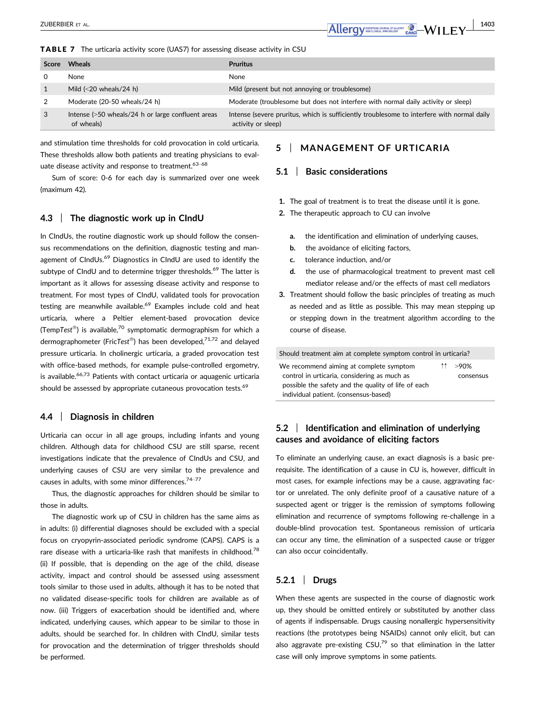TABLE 7 The urticaria activity score (UAS7) for assessing disease activity in CSU

| <b>Score</b> | <b>Wheals</b>                                                   | <b>Pruritus</b>                                                                                                  |
|--------------|-----------------------------------------------------------------|------------------------------------------------------------------------------------------------------------------|
|              | <b>None</b>                                                     | None                                                                                                             |
|              | Mild $\left( < 20 \right)$ wheals/24 h)                         | Mild (present but not annoying or troublesome)                                                                   |
| 2            | Moderate (20-50 wheals/24 h)                                    | Moderate (troublesome but does not interfere with normal daily activity or sleep)                                |
| 3            | Intense (>50 wheals/24 h or large confluent areas<br>of wheals) | Intense (severe pruritus, which is sufficiently troublesome to interfere with normal daily<br>activity or sleep) |

and stimulation time thresholds for cold provocation in cold urticaria. These thresholds allow both patients and treating physicians to evaluate disease activity and response to treatment.<sup>63-68</sup>

Sum of score: 0-6 for each day is summarized over one week (maximum 42).

## **4.3** | **The diagnostic work up in CIndU**

In CIndUs, the routine diagnostic work up should follow the consensus recommendations on the definition, diagnostic testing and management of CIndUs.<sup>69</sup> Diagnostics in CIndU are used to identify the subtype of CIndU and to determine trigger thresholds.<sup>69</sup> The latter is important as it allows for assessing disease activity and response to treatment. For most types of CIndU, validated tools for provocation testing are meanwhile available.<sup>69</sup> Examples include cold and heat urticaria, where a Peltier element-based provocation device (Temp*Test*) is available,<sup>70</sup> symptomatic dermographism for which a dermographometer (Fric*Test<sup>®</sup>)* has been developed.<sup>71,72</sup> and delayed pressure urticaria. In cholinergic urticaria, a graded provocation test with office-based methods, for example pulse-controlled ergometry, is available. $66,73$  Patients with contact urticaria or aquagenic urticaria should be assessed by appropriate cutaneous provocation tests.<sup>69</sup>

#### **4.4** | **Diagnosis in children**

Urticaria can occur in all age groups, including infants and young children. Although data for childhood CSU are still sparse, recent investigations indicate that the prevalence of CIndUs and CSU, and underlying causes of CSU are very similar to the prevalence and causes in adults, with some minor differences. $74-77$ 

Thus, the diagnostic approaches for children should be similar to those in adults.

The diagnostic work up of CSU in children has the same aims as in adults: (i) differential diagnoses should be excluded with a special focus on cryopyrin-associated periodic syndrome (CAPS). CAPS is a rare disease with a urticaria-like rash that manifests in childhood.<sup>78</sup> (ii) If possible, that is depending on the age of the child, disease activity, impact and control should be assessed using assessment tools similar to those used in adults, although it has to be noted that no validated disease-specific tools for children are available as of now. (iii) Triggers of exacerbation should be identified and, where indicated, underlying causes, which appear to be similar to those in adults, should be searched for. In children with CIndU, similar tests for provocation and the determination of trigger thresholds should be performed.

# **5** | **MANAGEMENT OF URTICARIA**

#### **5.1** | **Basic considerations**

- **1.** The goal of treatment is to treat the disease until it is gone.
- **2.** The therapeutic approach to CU can involve
	- **a.** the identification and elimination of underlying causes,
	- **b.** the avoidance of eliciting factors,
	- **c.** tolerance induction, and/or
	- **d.** the use of pharmacological treatment to prevent mast cell mediator release and/or the effects of mast cell mediators
- **3.** Treatment should follow the basic principles of treating as much as needed and as little as possible. This may mean stepping up or stepping down in the treatment algorithm according to the course of disease.

Should treatment aim at complete symptom control in urticaria? We recommend aiming at complete symptom control in urticaria, considering as much as possible the safety and the quality of life of each individual patient. (consensus-based) ↑↑ >90% consensus

## **5.2** | **Identification and elimination of underlying causes and avoidance of eliciting factors**

To eliminate an underlying cause, an exact diagnosis is a basic prerequisite. The identification of a cause in CU is, however, difficult in most cases, for example infections may be a cause, aggravating factor or unrelated. The only definite proof of a causative nature of a suspected agent or trigger is the remission of symptoms following elimination and recurrence of symptoms following re-challenge in a double-blind provocation test. Spontaneous remission of urticaria can occur any time, the elimination of a suspected cause or trigger can also occur coincidentally.

## **5.2.1** | **Drugs**

When these agents are suspected in the course of diagnostic work up, they should be omitted entirely or substituted by another class of agents if indispensable. Drugs causing nonallergic hypersensitivity reactions (the prototypes being NSAIDs) cannot only elicit, but can also aggravate pre-existing  $CSU<sub>1</sub><sup>79</sup>$  so that elimination in the latter case will only improve symptoms in some patients.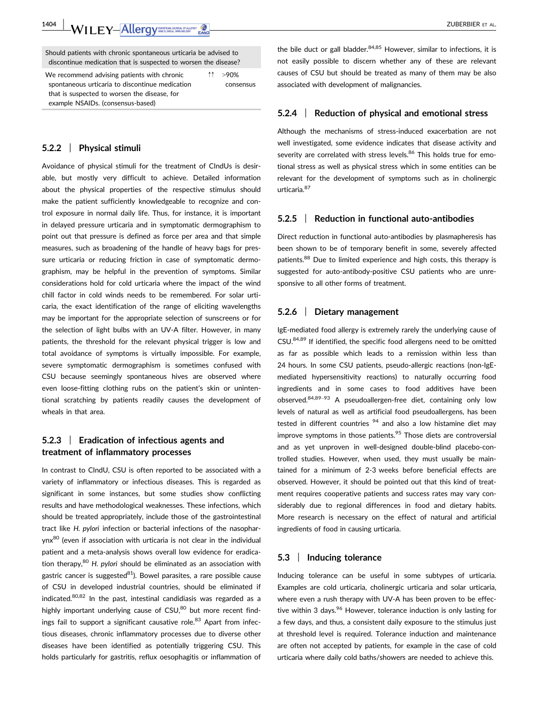**1404 | WILEY-Allergy DRIVER DESCRIPTION** 

Should patients with chronic spontaneous urticaria be advised to discontinue medication that is suspected to worsen the disease?

We recommend advising patients with chronic spontaneous urticaria to discontinue medication that is suspected to worsen the disease, for example NSAIDs. (consensus-based)  $>90%$ consensus

#### **5.2.2** | **Physical stimuli**

Avoidance of physical stimuli for the treatment of CIndUs is desirable, but mostly very difficult to achieve. Detailed information about the physical properties of the respective stimulus should make the patient sufficiently knowledgeable to recognize and control exposure in normal daily life. Thus, for instance, it is important in delayed pressure urticaria and in symptomatic dermographism to point out that pressure is defined as force per area and that simple measures, such as broadening of the handle of heavy bags for pressure urticaria or reducing friction in case of symptomatic dermographism, may be helpful in the prevention of symptoms. Similar considerations hold for cold urticaria where the impact of the wind chill factor in cold winds needs to be remembered. For solar urticaria, the exact identification of the range of eliciting wavelengths may be important for the appropriate selection of sunscreens or for the selection of light bulbs with an UV-A filter. However, in many patients, the threshold for the relevant physical trigger is low and total avoidance of symptoms is virtually impossible. For example, severe symptomatic dermographism is sometimes confused with CSU because seemingly spontaneous hives are observed where even loose-fitting clothing rubs on the patient's skin or unintentional scratching by patients readily causes the development of wheals in that area.

## **5.2.3** | **Eradication of infectious agents and treatment of inflammatory processes**

In contrast to CIndU, CSU is often reported to be associated with a variety of inflammatory or infectious diseases. This is regarded as significant in some instances, but some studies show conflicting results and have methodological weaknesses. These infections, which should be treated appropriately, include those of the gastrointestinal tract like *H. pylori* infection or bacterial infections of the nasopharynx<sup>80</sup> (even if association with urticaria is not clear in the individual patient and a meta-analysis shows overall low evidence for eradication therapy,80 *H. pylori* should be eliminated as an association with gastric cancer is suggested $81$ ). Bowel parasites, a rare possible cause of CSU in developed industrial countries, should be eliminated if indicated. $80,82$  In the past, intestinal candidiasis was regarded as a highly important underlying cause of  $CSU$ ,<sup>80</sup> but more recent findings fail to support a significant causative role.<sup>83</sup> Apart from infectious diseases, chronic inflammatory processes due to diverse other diseases have been identified as potentially triggering CSU. This holds particularly for gastritis, reflux oesophagitis or inflammation of the bile duct or gall bladder. $84,85$  However, similar to infections, it is not easily possible to discern whether any of these are relevant causes of CSU but should be treated as many of them may be also associated with development of malignancies.

#### **5.2.4** | **Reduction of physical and emotional stress**

Although the mechanisms of stress-induced exacerbation are not well investigated, some evidence indicates that disease activity and severity are correlated with stress levels.<sup>86</sup> This holds true for emotional stress as well as physical stress which in some entities can be relevant for the development of symptoms such as in cholinergic urticaria.<sup>87</sup>

#### **5.2.5** | **Reduction in functional auto-antibodies**

Direct reduction in functional auto-antibodies by plasmapheresis has been shown to be of temporary benefit in some, severely affected patients.<sup>88</sup> Due to limited experience and high costs, this therapy is suggested for auto-antibody-positive CSU patients who are unresponsive to all other forms of treatment.

#### **5.2.6** | **Dietary management**

IgE-mediated food allergy is extremely rarely the underlying cause of CSU.84,89 If identified, the specific food allergens need to be omitted as far as possible which leads to a remission within less than 24 hours. In some CSU patients, pseudo-allergic reactions (non-IgEmediated hypersensitivity reactions) to naturally occurring food ingredients and in some cases to food additives have been observed.84,89–<sup>93</sup> A pseudoallergen-free diet, containing only low levels of natural as well as artificial food pseudoallergens, has been tested in different countries  $94$  and also a low histamine diet may improve symptoms in those patients. $95$  Those diets are controversial and as yet unproven in well-designed double-blind placebo-controlled studies. However, when used, they must usually be maintained for a minimum of 2-3 weeks before beneficial effects are observed. However, it should be pointed out that this kind of treatment requires cooperative patients and success rates may vary considerably due to regional differences in food and dietary habits. More research is necessary on the effect of natural and artificial ingredients of food in causing urticaria.

#### **5.3** | **Inducing tolerance**

Inducing tolerance can be useful in some subtypes of urticaria. Examples are cold urticaria, cholinergic urticaria and solar urticaria, where even a rush therapy with UV-A has been proven to be effective within 3 days.<sup>96</sup> However, tolerance induction is only lasting for a few days, and thus, a consistent daily exposure to the stimulus just at threshold level is required. Tolerance induction and maintenance are often not accepted by patients, for example in the case of cold urticaria where daily cold baths/showers are needed to achieve this.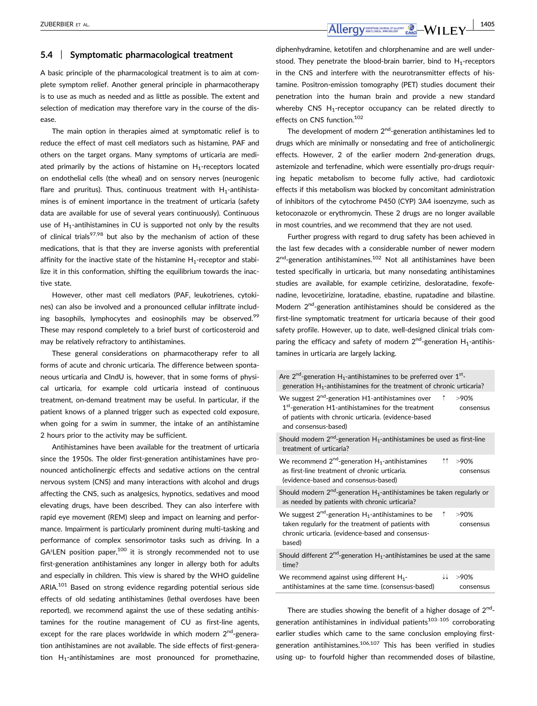## **5.4** | **Symptomatic pharmacological treatment**

A basic principle of the pharmacological treatment is to aim at complete symptom relief. Another general principle in pharmacotherapy is to use as much as needed and as little as possible. The extent and selection of medication may therefore vary in the course of the disease.

The main option in therapies aimed at symptomatic relief is to reduce the effect of mast cell mediators such as histamine, PAF and others on the target organs. Many symptoms of urticaria are mediated primarily by the actions of histamine on  $H_1$ -receptors located on endothelial cells (the wheal) and on sensory nerves (neurogenic flare and pruritus). Thus, continuous treatment with  $H_1$ -antihistamines is of eminent importance in the treatment of urticaria (safety data are available for use of several years continuously). Continuous use of  $H_1$ -antihistamines in CU is supported not only by the results of clinical trials<sup>97,98</sup> but also by the mechanism of action of these medications, that is that they are inverse agonists with preferential affinity for the inactive state of the histamine  $H_1$ -receptor and stabilize it in this conformation, shifting the equilibrium towards the inactive state.

However, other mast cell mediators (PAF, leukotrienes, cytokines) can also be involved and a pronounced cellular infiltrate including basophils, lymphocytes and eosinophils may be observed.<sup>99</sup> These may respond completely to a brief burst of corticosteroid and may be relatively refractory to antihistamines.

These general considerations on pharmacotherapy refer to all forms of acute and chronic urticaria. The difference between spontaneous urticaria and CIndU is, however, that in some forms of physical urticaria, for example cold urticaria instead of continuous treatment, on-demand treatment may be useful. In particular, if the patient knows of a planned trigger such as expected cold exposure, when going for a swim in summer, the intake of an antihistamine 2 hours prior to the activity may be sufficient.

Antihistamines have been available for the treatment of urticaria since the 1950s. The older first-generation antihistamines have pronounced anticholinergic effects and sedative actions on the central nervous system (CNS) and many interactions with alcohol and drugs affecting the CNS, such as analgesics, hypnotics, sedatives and mood elevating drugs, have been described. They can also interfere with rapid eye movement (REM) sleep and impact on learning and performance. Impairment is particularly prominent during multi-tasking and performance of complex sensorimotor tasks such as driving. In a  $GA<sup>2</sup>LEN position paper, <sup>100</sup> it is strongly recommended not to use$ first-generation antihistamines any longer in allergy both for adults and especially in children. This view is shared by the WHO guideline ARIA.<sup>101</sup> Based on strong evidence regarding potential serious side effects of old sedating antihistamines (lethal overdoses have been reported), we recommend against the use of these sedating antihistamines for the routine management of CU as first-line agents, except for the rare places worldwide in which modern  $2^{nd}$ -generation antihistamines are not available. The side effects of first-generation  $H_1$ -antihistamines are most pronounced for promethazine, diphenhydramine, ketotifen and chlorphenamine and are well understood. They penetrate the blood-brain barrier, bind to  $H_1$ -receptors in the CNS and interfere with the neurotransmitter effects of histamine. Positron-emission tomography (PET) studies document their penetration into the human brain and provide a new standard whereby CNS  $H_1$ -receptor occupancy can be related directly to effects on CNS function.102

The development of modern  $2<sup>nd</sup>$ -generation antihistamines led to drugs which are minimally or nonsedating and free of anticholinergic effects. However, 2 of the earlier modern 2nd-generation drugs, astemizole and terfenadine, which were essentially pro-drugs requiring hepatic metabolism to become fully active, had cardiotoxic effects if this metabolism was blocked by concomitant administration of inhibitors of the cytochrome P450 (CYP) 3A4 isoenzyme, such as ketoconazole or erythromycin. These 2 drugs are no longer available in most countries, and we recommend that they are not used.

Further progress with regard to drug safety has been achieved in the last few decades with a considerable number of newer modern  $2<sup>nd</sup>$ -generation antihistamines.<sup>102</sup> Not all antihistamines have been tested specifically in urticaria, but many nonsedating antihistamines studies are available, for example cetirizine, desloratadine, fexofenadine, levocetirizine, loratadine, ebastine, rupatadine and bilastine. Modern 2<sup>nd</sup>-generation antihistamines should be considered as the first-line symptomatic treatment for urticaria because of their good safety profile. However, up to date, well-designed clinical trials comparing the efficacy and safety of modern  $2<sup>nd</sup>$ -generation H<sub>1</sub>-antihistamines in urticaria are largely lacking.

| Are $2^{nd}$ -generation H <sub>1</sub> -antihistamines to be preferred over $1^{st}$ -<br>generation $H_1$ -antihistamines for the treatment of chronic urticaria?                                  |            |                   |
|------------------------------------------------------------------------------------------------------------------------------------------------------------------------------------------------------|------------|-------------------|
| We suggest 2 <sup>nd</sup> -generation H1-antihistamines over<br>1st-generation H1-antihistamines for the treatment<br>of patients with chronic urticaria. (evidence-based<br>and consensus-based)   | $\uparrow$ | >90%<br>consensus |
| Should modern $2^{nd}$ -generation $H_1$ -antihistamines be used as first-line<br>treatment of urticaria?                                                                                            |            |                   |
| We recommend $2^{nd}$ -generation H <sub>1</sub> -antihistamines<br>as first-line treatment of chronic urticaria.<br>(evidence-based and consensus-based)                                            | ተተ ነ       | >90%<br>consensus |
| Should modern $2^{nd}$ -generation H <sub>1</sub> -antihistamines be taken regularly or<br>as needed by patients with chronic urticaria?                                                             |            |                   |
| We suggest $2^{nd}$ -generation H <sub>1</sub> -antihistamines to be $\uparrow$<br>taken regularly for the treatment of patients with<br>chronic urticaria. (evidence-based and consensus-<br>based) |            | >90%<br>consensus |
| Should different $2^{nd}$ -generation $H_1$ -antihistamines be used at the same<br>time?                                                                                                             |            |                   |
| We recommend against using different $H_1$ -<br>antihistamines at the same time. (consensus-based)                                                                                                   | ↓↓         | >90%<br>consensus |
|                                                                                                                                                                                                      |            |                   |

There are studies showing the benefit of a higher dosage of  $2<sup>nd</sup>$ generation antihistamines in individual patients $103-105$  corroborating earlier studies which came to the same conclusion employing firstgeneration antihistamines. $106,107$  This has been verified in studies using up- to fourfold higher than recommended doses of bilastine,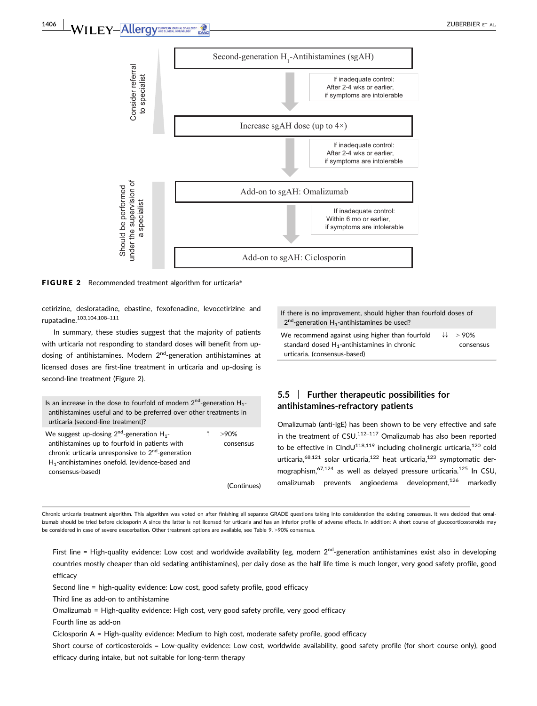

FIGURE 2 Recommended treatment algorithm for urticaria\*

cetirizine, desloratadine, ebastine, fexofenadine, levocetirizine and rupatadine.103,104,108–<sup>111</sup>

In summary, these studies suggest that the majority of patients with urticaria not responding to standard doses will benefit from updosing of antihistamines. Modern  $2^{nd}$ -generation antihistamines at licensed doses are first-line treatment in urticaria and up-dosing is second-line treatment (Figure 2).

| Is an increase in the dose to fourfold of modern $2^{nd}$ -generation $H_1$ -<br>antihistamines useful and to be preferred over other treatments in<br>urticaria (second-line treatment)?                                                               |                      |
|---------------------------------------------------------------------------------------------------------------------------------------------------------------------------------------------------------------------------------------------------------|----------------------|
| We suggest up-dosing $2^{nd}$ -generation H <sub>1</sub> -<br>antihistamines up to fourfold in patients with<br>chronic urticaria unresponsive to 2 <sup>nd</sup> -generation<br>$H_1$ -antihistamines onefold. (evidence-based and<br>consensus-based) | $>90\%$<br>consensus |
|                                                                                                                                                                                                                                                         | (Continues)          |

If there is no improvement, should higher than fourfold doses of  $2<sup>nd</sup>$ -generation H<sub>1</sub>-antihistamines be used?

We recommend against using higher than fourfold standard dosed  $H_1$ -antihistamines in chronic urticaria. (consensus-based) ↓↓ > 90% consensus

# **5.5** | **Further therapeutic possibilities for antihistamines-refractory patients**

Omalizumab (anti-IgE) has been shown to be very effective and safe in the treatment of  $CSU<sub>112–117</sub>$  Omalizumab has also been reported to be effective in CIndU<sup>118,119</sup> including cholinergic urticaria,<sup>120</sup> cold urticaria,<sup>68,121</sup> solar urticaria,<sup>122</sup> heat urticaria,<sup>123</sup> symptomatic dermographism,  $67,124$  as well as delayed pressure urticaria.<sup>125</sup> In CSU, omalizumab prevents angioedema development,<sup>126</sup> markedly

Chronic urticaria treatment algorithm. This algorithm was voted on after finishing all separate GRADE questions taking into consideration the existing consensus. It was decided that omalizumab should be tried before ciclosporin A since the latter is not licensed for urticaria and has an inferior profile of adverse effects. In addition: A short course of glucocorticosteroids may be considered in case of severe exacerbation. Other treatment options are available, see Table 9. >90% consensus.

First line = High-quality evidence: Low cost and worldwide availability (eg, modern  $2<sup>nd</sup>$ -generation antihistamines exist also in developing countries mostly cheaper than old sedating antihistamines), per daily dose as the half life time is much longer, very good safety profile, good efficacy

Second line = high-quality evidence: Low cost, good safety profile, good efficacy

Third line as add-on to antihistamine

Omalizumab = High-quality evidence: High cost, very good safety profile, very good efficacy

Fourth line as add-on

Ciclosporin A = High-quality evidence: Medium to high cost, moderate safety profile, good efficacy

Short course of corticosteroids = Low-quality evidence: Low cost, worldwide availability, good safety profile (for short course only), good efficacy during intake, but not suitable for long-term therapy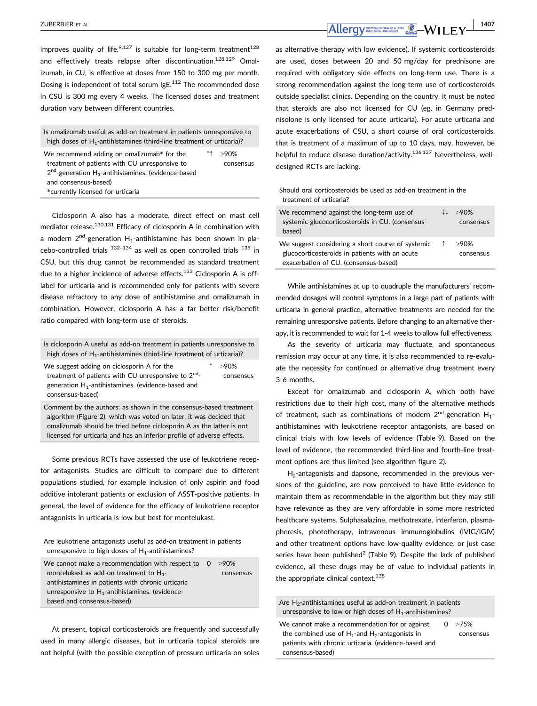improves quality of life,  $9,127$  is suitable for long-term treatment<sup>128</sup> and effectively treats relapse after discontinuation.<sup>128,129</sup> Omalizumab, in CU, is effective at doses from 150 to 300 mg per month. Dosing is independent of total serum IgE.<sup>112</sup> The recommended dose in CSU is 300 mg every 4 weeks. The licensed doses and treatment duration vary between different countries.

| Is omalizumab useful as add-on treatment in patients unresponsive to<br>high doses of $H_1$ -antihistamines (third-line treatment of urticaria)?                                                                              |                      |
|-------------------------------------------------------------------------------------------------------------------------------------------------------------------------------------------------------------------------------|----------------------|
| We recommend adding on omalizumab* for the<br>treatment of patients with CU unresponsive to<br>$2nd$ -generation H <sub>1</sub> -antihistamines. (evidence-based<br>and consensus-based)<br>*currently licensed for urticaria | ↑↑ >90%<br>consensus |

Ciclosporin A also has a moderate, direct effect on mast cell mediator release.<sup>130,131</sup> Efficacy of ciclosporin A in combination with a modern  $2^{nd}$ -generation H<sub>1</sub>-antihistamine has been shown in placebo-controlled trials  $132-134$  as well as open controlled trials  $135$  in CSU, but this drug cannot be recommended as standard treatment due to a higher incidence of adverse effects.<sup>133</sup> Ciclosporin A is offlabel for urticaria and is recommended only for patients with severe disease refractory to any dose of antihistamine and omalizumab in combination. However, ciclosporin A has a far better risk/benefit ratio compared with long-term use of steroids.

Is ciclosporin A useful as add-on treatment in patients unresponsive to high doses of  $H_1$ -antihistamines (third-line treatment of urticaria)?

We suggest adding on ciclosporin A for the treatment of patients with CU unresponsive to  $2^{nd}$ generation  $H_1$ -antihistamines. (evidence-based and consensus-based)  $>90%$ consensus

Comment by the authors: as shown in the consensus-based treatment algorithm (Figure 2), which was voted on later, it was decided that omalizumab should be tried before ciclosporin A as the latter is not licensed for urticaria and has an inferior profile of adverse effects.

Some previous RCTs have assessed the use of leukotriene receptor antagonists. Studies are difficult to compare due to different populations studied, for example inclusion of only aspirin and food additive intolerant patients or exclusion of ASST-positive patients. In general, the level of evidence for the efficacy of leukotriene receptor antagonists in urticaria is low but best for montelukast.

Are leukotriene antagonists useful as add-on treatment in patients unresponsive to high doses of  $H_1$ -antihistamines?

We cannot make a recommendation with respect to 0 montelukast as add-on treatment to  $H_{1}$ antihistamines in patients with chronic urticaria unresponsive to  $H_1$ -antihistamines. (evidencebased and consensus-based)  $>90%$ consensus

At present, topical corticosteroids are frequently and successfully used in many allergic diseases, but in urticaria topical steroids are not helpful (with the possible exception of pressure urticaria on soles as alternative therapy with low evidence). If systemic corticosteroids are used, doses between 20 and 50 mg/day for prednisone are required with obligatory side effects on long-term use. There is a strong recommendation against the long-term use of corticosteroids outside specialist clinics. Depending on the country, it must be noted that steroids are also not licensed for CU (eg, in Germany prednisolone is only licensed for acute urticaria). For acute urticaria and acute exacerbations of CSU, a short course of oral corticosteroids, that is treatment of a maximum of up to 10 days, may, however, be helpful to reduce disease duration/activity.<sup>136,137</sup> Nevertheless, welldesigned RCTs are lacking.

Should oral corticosteroids be used as add-on treatment in the treatment of urticaria?

| We recommend against the long-term use of<br>systemic glucocorticosteroids in CU. (consensus-<br>based)                                      | $>90\%$<br>consensus |
|----------------------------------------------------------------------------------------------------------------------------------------------|----------------------|
| We suggest considering a short course of systemic<br>glucocorticosteroids in patients with an acute<br>exacerbation of CU. (consensus-based) | $>90\%$<br>consensus |

While antihistamines at up to quadruple the manufacturers' recommended dosages will control symptoms in a large part of patients with urticaria in general practice, alternative treatments are needed for the remaining unresponsive patients. Before changing to an alternative therapy, it is recommended to wait for 1-4 weeks to allow full effectiveness.

As the severity of urticaria may fluctuate, and spontaneous remission may occur at any time, it is also recommended to re-evaluate the necessity for continued or alternative drug treatment every 3-6 months.

Except for omalizumab and ciclosporin A, which both have restrictions due to their high cost, many of the alternative methods of treatment, such as combinations of modern  $2^{nd}$ -generation  $H_1$ antihistamines with leukotriene receptor antagonists, are based on clinical trials with low levels of evidence (Table 9). Based on the level of evidence, the recommended third-line and fourth-line treatment options are thus limited (see algorithm figure 2).

H<sub>2</sub>-antagonists and dapsone, recommended in the previous versions of the guideline, are now perceived to have little evidence to maintain them as recommendable in the algorithm but they may still have relevance as they are very affordable in some more restricted healthcare systems. Sulphasalazine, methotrexate, interferon, plasmapheresis, phototherapy, intravenous immunoglobulins (IVIG/IGIV) and other treatment options have low-quality evidence, or just case series have been published<sup>2</sup> (Table 9). Despite the lack of published evidence, all these drugs may be of value to individual patients in the appropriate clinical context.<sup>138</sup>

Are  $H_2$ -antihistamines useful as add-on treatment in patients unresponsive to low or high doses of  $H_1$ -antihistamines?

We cannot make a recommendation for or against the combined use of  $H_1$ -and  $H_2$ -antagonists in patients with chronic urticaria. (evidence-based and consensus-based)  $0 \rightarrow 75%$ 

consensus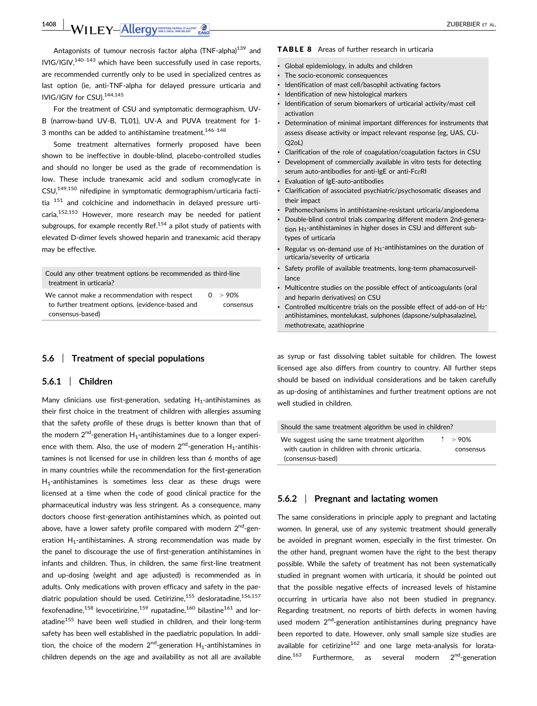**1408 | WILEY-Allergy DRIVER DESCRIPTION** 

Antagonists of tumour necrosis factor alpha (TNF-alpha)<sup>139</sup> and  $IVIG/IGIV<sup>140–143</sup>$  which have been successfully used in case reports. are recommended currently only to be used in specialized centres as last option (ie, anti-TNF-alpha for delayed pressure urticaria and IVIG/IGIV for CSU).144,145

For the treatment of CSU and symptomatic dermographism, UV-B (narrow-band UV-B, TL01), UV-A and PUVA treatment for 1- 3 months can be added to antihistamine treatment. $146-148$ 

Some treatment alternatives formerly proposed have been shown to be ineffective in double-blind, placebo-controlled studies and should no longer be used as the grade of recommendation is low. These include tranexamic acid and sodium cromoglycate in CSU,149,150 nifedipine in symptomatic dermographism/urticaria factitia <sup>151</sup> and colchicine and indomethacin in delayed pressure urticaria.152,153 However, more research may be needed for patient subgroups, for example recently Ref. $154$  a pilot study of patients with elevated D-dimer levels showed heparin and tranexamic acid therapy may be effective.

Could any other treatment options be recommended as third-line treatment in urticaria? We cannot make a recommendation with respect to further treatment options. (evidence-based and consensus-based)  $0 > 90%$ consensus

### **5.6** | **Treatment of special populations**

#### **5.6.1** | **Children**

Many clinicians use first-generation, sedating  $H_1$ -antihistamines as their first choice in the treatment of children with allergies assuming that the safety profile of these drugs is better known than that of the modern  $2^{nd}$ -generation H<sub>1</sub>-antihistamines due to a longer experience with them. Also, the use of modern  $2<sup>nd</sup>$ -generation H<sub>1</sub>-antihistamines is not licensed for use in children less than 6 months of age in many countries while the recommendation for the first-generation  $H_1$ -antihistamines is sometimes less clear as these drugs were licensed at a time when the code of good clinical practice for the pharmaceutical industry was less stringent. As a consequence, many doctors choose first-generation antihistamines which, as pointed out above, have a lower safety profile compared with modern  $2<sup>nd</sup>$ -generation  $H_1$ -antihistamines. A strong recommendation was made by the panel to discourage the use of first-generation antihistamines in infants and children. Thus, in children, the same first-line treatment and up-dosing (weight and age adjusted) is recommended as in adults. Only medications with proven efficacy and safety in the paediatric population should be used. Cetirizine, $155$  desloratadine, $156,157$ fexofenadine,<sup>158</sup> levocetirizine,<sup>159</sup> rupatadine,<sup>160</sup> bilastine<sup>161</sup> and loratadine<sup>155</sup> have been well studied in children, and their long-term safety has been well established in the paediatric population. In addition, the choice of the modern  $2<sup>nd</sup>$ -generation H<sub>1</sub>-antihistamines in children depends on the age and availability as not all are available

#### TABLE 8 Areas of further research in urticaria

- Global epidemiology, in adults and children
- The socio-economic consequences
- Identification of mast cell/basophil activating factors
- Identification of new histological markers
- Identification of serum biomarkers of urticarial activity/mast cell activation
- Determination of minimal important differences for instruments that assess disease activity or impact relevant response (eg, UAS, CU-Q2oL)
- Clarification of the role of coagulation/coagulation factors in CSU
- Development of commercially available in vitro tests for detecting serum auto-antibodies for anti-IgE or anti-FcɛRI
- Evaluation of IgE-auto-antibodies
- Clarification of associated psychiatric/psychosomatic diseases and their impact
- Pathomechanisms in antihistamine-resistant urticaria/angioedema
- Double-blind control trials comparing different modern 2nd-generation H1-antihistamines in higher doses in CSU and different subtypes of urticaria
- Regular vs on-demand use of H1-antihistamines on the duration of urticaria/severity of urticaria
- Safety profile of available treatments, long-term phamacosurveillance
- Multicentre studies on the possible effect of anticoagulants (oral and heparin derivatives) on CSU
- Controlled multicentre trials on the possible effect of add-on of H2 antihistamines, montelukast, sulphones (dapsone/sulphasalazine), methotrexate, azathioprine

as syrup or fast dissolving tablet suitable for children. The lowest licensed age also differs from country to country. All further steps should be based on individual considerations and be taken carefully as up-dosing of antihistamines and further treatment options are not well studied in children.

| Should the same treatment algorithm be used in children?                                          |                               |
|---------------------------------------------------------------------------------------------------|-------------------------------|
| We suggest using the same treatment algorithm<br>with caution in children with chronic urticaria. | $\uparrow$ > 90%<br>consensus |
| (consensus-based)                                                                                 |                               |

# **5.6.2** | **Pregnant and lactating women**

The same considerations in principle apply to pregnant and lactating women. In general, use of any systemic treatment should generally be avoided in pregnant women, especially in the first trimester. On the other hand, pregnant women have the right to the best therapy possible. While the safety of treatment has not been systematically studied in pregnant women with urticaria, it should be pointed out that the possible negative effects of increased levels of histamine occurring in urticaria have also not been studied in pregnancy. Regarding treatment, no reports of birth defects in women having used modern 2<sup>nd</sup>-generation antihistamines during pregnancy have been reported to date. However, only small sample size studies are available for cetirizine<sup>162</sup> and one large meta-analysis for loratadine. $163$  Furthermore, as several modern  $2^{nd}$ -generation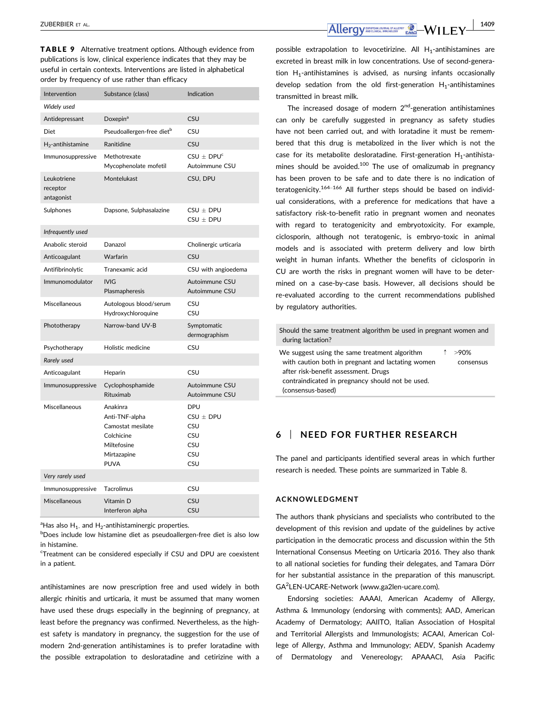TABLE 9 Alternative treatment options. Although evidence from publications is low, clinical experience indicates that they may be useful in certain contexts. Interventions are listed in alphabetical order by frequency of use rather than efficacy

| Intervention                          | Substance (class)                                                                                          | Indication                                                            |
|---------------------------------------|------------------------------------------------------------------------------------------------------------|-----------------------------------------------------------------------|
| Widely used                           |                                                                                                            |                                                                       |
| Antidepressant                        | Doxepin <sup>a</sup>                                                                                       | CSU                                                                   |
| <b>Diet</b>                           | Pseudoallergen-free diet <sup>b</sup>                                                                      | CSU                                                                   |
| $H_2$ -antihistamine                  | Ranitidine                                                                                                 | <b>CSU</b>                                                            |
| Immunosuppressive                     | Methotrexate<br>Mycophenolate mofetil                                                                      | $CSU \pm DPU^{c}$<br>Autoimmune CSU                                   |
| Leukotriene<br>receptor<br>antagonist | Montelukast                                                                                                | CSU, DPU                                                              |
| Sulphones                             | Dapsone, Sulphasalazine                                                                                    | $CSU \pm DPU$<br>$CSU + DPU$                                          |
| Infrequently used                     |                                                                                                            |                                                                       |
| Anabolic steroid                      | Danazol                                                                                                    | Cholinergic urticaria                                                 |
| Anticoagulant                         | Warfarin                                                                                                   | CSU                                                                   |
| Antifibrinolytic                      | Tranexamic acid                                                                                            | CSU with angioedema                                                   |
| Immunomodulator                       | <b>IVIG</b><br>Plasmapheresis                                                                              | Autoimmune CSU<br>Autoimmune CSU                                      |
| Miscellaneous                         | Autologous blood/serum<br>Hydroxychloroquine                                                               | CSU<br>CSU                                                            |
| Phototherapy                          | Narrow-band UV-B                                                                                           | Symptomatic<br>dermographism                                          |
| Psychotherapy                         | Holistic medicine                                                                                          | CSU                                                                   |
| Rarely used                           |                                                                                                            |                                                                       |
| Anticoagulant                         | Heparin                                                                                                    | CSU                                                                   |
| Immunosuppressive                     | Cyclophosphamide<br>Rituximab                                                                              | Autoimmune CSU<br>Autoimmune CSU                                      |
| Miscellaneous                         | Anakinra<br>Anti-TNF-alpha<br>Camostat mesilate<br>Colchicine<br>Miltefosine<br>Mirtazapine<br><b>PUVA</b> | <b>DPU</b><br>$CSU \pm DPU$<br>CSU<br>CSU<br><b>CSU</b><br>CSU<br>CSU |
| Very rarely used                      |                                                                                                            |                                                                       |
| Immunosuppressive                     | Tacrolimus                                                                                                 | CSU                                                                   |
| Miscellaneous                         | Vitamin D<br>Interferon alpha                                                                              | CSU<br><b>CSU</b>                                                     |

 $\mathrm{^{a}H}$ as also  $\mathrm{H}_{1}$  and  $\mathrm{H}_{2}$ -antihistaminergic properties.

<sup>b</sup>Does include low histamine diet as pseudoallergen-free diet is also low in histamine.

<sup>c</sup>Treatment can be considered especially if CSU and DPU are coexistent in a patient.

antihistamines are now prescription free and used widely in both allergic rhinitis and urticaria, it must be assumed that many women have used these drugs especially in the beginning of pregnancy, at least before the pregnancy was confirmed. Nevertheless, as the highest safety is mandatory in pregnancy, the suggestion for the use of modern 2nd-generation antihistamines is to prefer loratadine with the possible extrapolation to desloratadine and cetirizine with a

**zuberbier et al.** 1409

possible extrapolation to levocetirizine. All  $H_1$ -antihistamines are excreted in breast milk in low concentrations. Use of second-generation  $H_1$ -antihistamines is advised, as nursing infants occasionally develop sedation from the old first-generation  $H_1$ -antihistamines transmitted in breast milk.

The increased dosage of modern  $2<sup>nd</sup>$ -generation antihistamines can only be carefully suggested in pregnancy as safety studies have not been carried out, and with loratadine it must be remembered that this drug is metabolized in the liver which is not the case for its metabolite desloratadine. First-generation  $H_1$ -antihistamines should be avoided.<sup>100</sup> The use of omalizumab in pregnancy has been proven to be safe and to date there is no indication of teratogenicity.<sup>164–166</sup> All further steps should be based on individual considerations, with a preference for medications that have a satisfactory risk-to-benefit ratio in pregnant women and neonates with regard to teratogenicity and embryotoxicity. For example, ciclosporin, although not teratogenic, is embryo-toxic in animal models and is associated with preterm delivery and low birth weight in human infants. Whether the benefits of ciclosporin in CU are worth the risks in pregnant women will have to be determined on a case-by-case basis. However, all decisions should be re-evaluated according to the current recommendations published by regulatory authorities.

Should the same treatment algorithm be used in pregnant women and during lactation? We suggest using the same treatment algorithm with caution both in pregnant and lactating women after risk-benefit assessment. Drugs contraindicated in pregnancy should not be used. (consensus-based) ↑ >90% consensus

## **6** | **NEED FOR FURTHER RESEARCH**

The panel and participants identified several areas in which further research is needed. These points are summarized in Table 8.

#### **ACKNOWLEDGMENT**

The authors thank physicians and specialists who contributed to the development of this revision and update of the guidelines by active participation in the democratic process and discussion within the 5th International Consensus Meeting on Urticaria 2016. They also thank to all national societies for funding their delegates, and Tamara Dörr for her substantial assistance in the preparation of this manuscript. GA2 LEN-UCARE-Network [\(www.ga2len-ucare.com\)](http://www.ga2len-ucare.com).

Endorsing societies: AAAAI, American Academy of Allergy, Asthma & Immunology (endorsing with comments); AAD, American Academy of Dermatology; AAIITO, Italian Association of Hospital and Territorial Allergists and Immunologists; ACAAI, American College of Allergy, Asthma and Immunology; AEDV, Spanish Academy of Dermatology and Venereology; APAAACI, Asia Pacific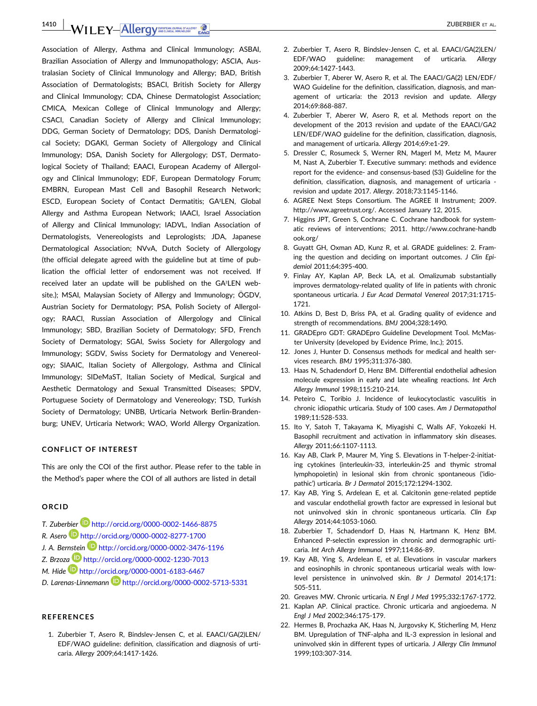**1410 | WILEY-Allergy AND ALLEY ALLER ALLER ALLER ALLER ALLER ALLER ALLER ALLER ALL** 

Association of Allergy, Asthma and Clinical Immunology; ASBAI, Brazilian Association of Allergy and Immunopathology; ASCIA, Australasian Society of Clinical Immunology and Allergy; BAD, British Association of Dermatologists; BSACI, British Society for Allergy and Clinical Immunology; CDA, Chinese Dermatologist Association; CMICA, Mexican College of Clinical Immunology and Allergy; CSACI, Canadian Society of Allergy and Clinical Immunology; DDG, German Society of Dermatology; DDS, Danish Dermatological Society; DGAKI, German Society of Allergology and Clinical Immunology; DSA, Danish Society for Allergology; DST, Dermatological Society of Thailand; EAACI, European Academy of Allergology and Clinical Immunology; EDF, European Dermatology Forum; EMBRN, European Mast Cell and Basophil Research Network; ESCD, European Society of Contact Dermatitis; GA²LEN, Global Allergy and Asthma European Network; IAACI, Israel Association of Allergy and Clinical Immunology; IADVL, Indian Association of Dermatologists, Venereologists and Leprologists; JDA, Japanese Dermatological Association; NVvA, Dutch Society of Allergology (the official delegate agreed with the guideline but at time of publication the official letter of endorsement was not received. If received later an update will be published on the GA²LEN website.); MSAI, Malaysian Society of Allergy and Immunology; ÖGDV, Austrian Society for Dermatology; PSA, Polish Society of Allergology; RAACI, Russian Association of Allergology and Clinical Immunology; SBD, Brazilian Society of Dermatology; SFD, French Society of Dermatology; SGAI, Swiss Society for Allergology and Immunology; SGDV, Swiss Society for Dermatology and Venereology; SIAAIC, Italian Society of Allergology, Asthma and Clinical Immunology; SIDeMaST, Italian Society of Medical, Surgical and Aesthetic Dermatology and Sexual Transmitted Diseases; SPDV, Portuguese Society of Dermatology and Venereology; TSD, Turkish Society of Dermatology; UNBB, Urticaria Network Berlin-Brandenburg; UNEV, Urticaria Network; WAO, World Allergy Organization.

#### **CONFLICT OF INTEREST**

This are only the COI of the first author. Please refer to the table in the Method's paper where the COI of all authors are listed in detail

#### **ORCID**

- *T. Zuberbier* http://orcid.org/0000-0002-1466-8875
- *R. Asero* http://orcid.org/0000-0002-8277-1700
- *J. A. Bernstein* http://orcid.org/0000-0002-3476-1196
- *Z. Brzoza* http://orcid.org/0000-0002-1230-7013
- *M. Hide* http://orcid.org/0000-0001-6183-6467
- *D. Larenas-Linnemann* http://orcid.org/0000-0002-5713-5331

#### **REFERENCES**

1. Zuberbier T, Asero R, Bindslev-Jensen C, et al. EAACI/GA(2)LEN/ EDF/WAO guideline: definition, classification and diagnosis of urticaria. *Allergy* 2009;64:1417-1426.

- 2. Zuberbier T, Asero R, Bindslev-Jensen C, et al. EAACI/GA(2)LEN/ EDF/WAO guideline: management of urticaria. *Allergy* 2009;64:1427-1443.
- 3. Zuberbier T, Aberer W, Asero R, et al. The EAACI/GA(2) LEN/EDF/ WAO Guideline for the definition, classification, diagnosis, and management of urticaria: the 2013 revision and update. *Allergy* 2014;69:868-887.
- 4. Zuberbier T, Aberer W, Asero R, et al. Methods report on the development of the 2013 revision and update of the EAACI/GA2 LEN/EDF/WAO guideline for the definition, classification, diagnosis, and management of urticaria. *Allergy* 2014;69:e1-29.
- 5. Dressler C, Rosumeck S, Werner RN, Magerl M, Metz M, Maurer M, Nast A, Zuberbier T. Executive summary: methods and evidence report for the evidence- and consensus-based (S3) Guideline for the definition, classification, diagnosis, and management of urticaria revision and update 2017. *Allergy*. 2018;73:1145-1146.
- 6. AGREE Next Steps Consortium. The AGREE II Instrument; 2009. [http://www.agreetrust.org/.](http://www.agreetrust.org/) Accessed January 12, 2015.
- 7. Higgins JPT, Green S, Cochrane C. Cochrane handbook for systematic reviews of interventions; 2011. [http://www.cochrane-handb](http://www.cochrane-handbook.org/) [ook.org/](http://www.cochrane-handbook.org/)
- 8. Guyatt GH, Oxman AD, Kunz R, et al. GRADE guidelines: 2. Framing the question and deciding on important outcomes. *J Clin Epidemiol* 2011;64:395-400.
- 9. Finlay AY, Kaplan AP, Beck LA, et al. Omalizumab substantially improves dermatology-related quality of life in patients with chronic spontaneous urticaria. *J Eur Acad Dermatol Venereol* 2017;31:1715- 1721.
- 10. Atkins D, Best D, Briss PA, et al. Grading quality of evidence and strength of recommendations. *BMJ* 2004;328:1490.
- 11. GRADEpro GDT: GRADEpro Guideline Development Tool. McMaster University (developed by Evidence Prime, Inc.); 2015.
- 12. Jones J, Hunter D. Consensus methods for medical and health services research. *BMJ* 1995;311:376-380.
- 13. Haas N, Schadendorf D, Henz BM. Differential endothelial adhesion molecule expression in early and late whealing reactions. *Int Arch Allergy Immunol* 1998;115:210-214.
- 14. Peteiro C, Toribio J. Incidence of leukocytoclastic vasculitis in chronic idiopathic urticaria. Study of 100 cases. *Am J Dermatopathol* 1989;11:528-533.
- 15. Ito Y, Satoh T, Takayama K, Miyagishi C, Walls AF, Yokozeki H. Basophil recruitment and activation in inflammatory skin diseases. *Allergy* 2011;66:1107-1113.
- 16. Kay AB, Clark P, Maurer M, Ying S. Elevations in T-helper-2-initiating cytokines (interleukin-33, interleukin-25 and thymic stromal lymphopoietin) in lesional skin from chronic spontaneous ('idiopathic') urticaria. *Br J Dermatol* 2015;172:1294-1302.
- 17. Kay AB, Ying S, Ardelean E, et al. Calcitonin gene-related peptide and vascular endothelial growth factor are expressed in lesional but not uninvolved skin in chronic spontaneous urticaria. *Clin Exp Allergy* 2014;44:1053-1060.
- 18. Zuberbier T, Schadendorf D, Haas N, Hartmann K, Henz BM. Enhanced P-selectin expression in chronic and dermographic urticaria. *Int Arch Allergy Immunol* 1997;114:86-89.
- 19. Kay AB, Ying S, Ardelean E, et al. Elevations in vascular markers and eosinophils in chronic spontaneous urticarial weals with lowlevel persistence in uninvolved skin. *Br J Dermatol* 2014;171: 505-511.
- 20. Greaves MW. Chronic urticaria. *N Engl J Med* 1995;332:1767-1772.
- 21. Kaplan AP. Clinical practice. Chronic urticaria and angioedema. *N Engl J Med* 2002;346:175-179.
- 22. Hermes B, Prochazka AK, Haas N, Jurgovsky K, Sticherling M, Henz BM. Upregulation of TNF-alpha and IL-3 expression in lesional and uninvolved skin in different types of urticaria. *J Allergy Clin Immunol* 1999;103:307-314.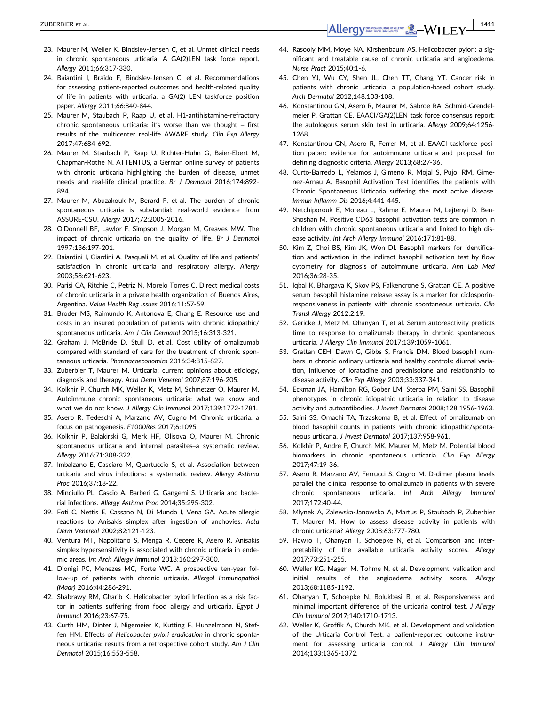- 23. Maurer M, Weller K, Bindslev-Jensen C, et al. Unmet clinical needs in chronic spontaneous urticaria. A GA(2)LEN task force report. *Allergy* 2011;66:317-330.
- 24. Baiardini I, Braido F, Bindslev-Jensen C, et al. Recommendations for assessing patient-reported outcomes and health-related quality of life in patients with urticaria: a GA(2) LEN taskforce position paper. *Allergy* 2011;66:840-844.
- 25. Maurer M, Staubach P, Raap U, et al. H1-antihistamine-refractory chronic spontaneous urticaria: it's worse than we thought – first results of the multicenter real-life AWARE study. *Clin Exp Allergy* 2017;47:684-692.
- 26. Maurer M, Staubach P, Raap U, Richter-Huhn G, Baier-Ebert M, Chapman-Rothe N. ATTENTUS, a German online survey of patients with chronic urticaria highlighting the burden of disease, unmet needs and real-life clinical practice. *Br J Dermatol* 2016;174:892- 894.
- 27. Maurer M, Abuzakouk M, Berard F, et al. The burden of chronic spontaneous urticaria is substantial: real-world evidence from ASSURE-CSU. *Allergy* 2017;72:2005-2016.
- 28. O'Donnell BF, Lawlor F, Simpson J, Morgan M, Greaves MW. The impact of chronic urticaria on the quality of life. *Br J Dermatol* 1997;136:197-201.
- 29. Baiardini I, Giardini A, Pasquali M, et al. Quality of life and patients' satisfaction in chronic urticaria and respiratory allergy. *Allergy* 2003;58:621-623.
- 30. Parisi CA, Ritchie C, Petriz N, Morelo Torres C. Direct medical costs of chronic urticaria in a private health organization of Buenos Aires, Argentina. *Value Health Reg Issues* 2016;11:57-59.
- 31. Broder MS, Raimundo K, Antonova E, Chang E. Resource use and costs in an insured population of patients with chronic idiopathic/ spontaneous urticaria. *Am J Clin Dermatol* 2015;16:313-321.
- 32. Graham J, McBride D, Stull D, et al. Cost utility of omalizumab compared with standard of care for the treatment of chronic spontaneous urticaria. *Pharmacoeconomics* 2016;34:815-827.
- 33. Zuberbier T, Maurer M. Urticaria: current opinions about etiology, diagnosis and therapy. *Acta Derm Venereol* 2007;87:196-205.
- 34. Kolkhir P, Church MK, Weller K, Metz M, Schmetzer O, Maurer M. Autoimmune chronic spontaneous urticaria: what we know and what we do not know. *J Allergy Clin Immunol* 2017;139:1772-1781.
- 35. Asero R, Tedeschi A, Marzano AV, Cugno M. Chronic urticaria: a focus on pathogenesis. *F1000Res* 2017;6:1095.
- 36. Kolkhir P, Balakirski G, Merk HF, Olisova O, Maurer M. Chronic spontaneous urticaria and internal parasites–a systematic review. *Allergy* 2016;71:308-322.
- 37. Imbalzano E, Casciaro M, Quartuccio S, et al. Association between urticaria and virus infections: a systematic review. *Allergy Asthma Proc* 2016;37:18-22.
- 38. Minciullo PL, Cascio A, Barberi G, Gangemi S. Urticaria and bacterial infections. *Allergy Asthma Proc* 2014;35:295-302.
- 39. Foti C, Nettis E, Cassano N, Di Mundo I, Vena GA. Acute allergic reactions to Anisakis simplex after ingestion of anchovies. *Acta Derm Venereol* 2002;82:121-123.
- 40. Ventura MT, Napolitano S, Menga R, Cecere R, Asero R. Anisakis simplex hypersensitivity is associated with chronic urticaria in endemic areas. *Int Arch Allergy Immunol* 2013;160:297-300.
- 41. Dionigi PC, Menezes MC, Forte WC. A prospective ten-year follow-up of patients with chronic urticaria. *Allergol Immunopathol (Madr)* 2016;44:286-291.
- 42. Shabrawy RM, Gharib K. Helicobacter pylori Infection as a risk factor in patients suffering from food allergy and urticaria. *Egypt J Immunol* 2016;23:67-75.
- 43. Curth HM, Dinter J, Nigemeier K, Kutting F, Hunzelmann N, Steffen HM. Effects of *Helicobacter pylori eradication* in chronic spontaneous urticaria: results from a retrospective cohort study. *Am J Clin Dermatol* 2015;16:553-558.
- 44. Rasooly MM, Moye NA, Kirshenbaum AS. Helicobacter pylori: a significant and treatable cause of chronic urticaria and angioedema. *Nurse Pract* 2015;40:1-6.
- 45. Chen YJ, Wu CY, Shen JL, Chen TT, Chang YT. Cancer risk in patients with chronic urticaria: a population-based cohort study. *Arch Dermatol* 2012;148:103-108.
- 46. Konstantinou GN, Asero R, Maurer M, Sabroe RA, Schmid-Grendelmeier P, Grattan CE. EAACI/GA(2)LEN task force consensus report: the autologous serum skin test in urticaria. *Allergy* 2009;64:1256- 1268
- 47. Konstantinou GN, Asero R, Ferrer M, et al. EAACI taskforce position paper: evidence for autoimmune urticaria and proposal for defining diagnostic criteria. *Allergy* 2013;68:27-36.
- 48. Curto-Barredo L, Yelamos J, Gimeno R, Mojal S, Pujol RM, Gimenez-Arnau A. Basophil Activation Test identifies the patients with Chronic Spontaneous Urticaria suffering the most active disease. *Immun Inflamm Dis* 2016;4:441-445.
- 49. Netchiporouk E, Moreau L, Rahme E, Maurer M, Lejtenyi D, Ben-Shoshan M. Positive CD63 basophil activation tests are common in children with chronic spontaneous urticaria and linked to high disease activity. *Int Arch Allergy Immunol* 2016;171:81-88.
- 50. Kim Z, Choi BS, Kim JK, Won DI. Basophil markers for identification and activation in the indirect basophil activation test by flow cytometry for diagnosis of autoimmune urticaria. *Ann Lab Med* 2016;36:28-35.
- 51. Iqbal K, Bhargava K, Skov PS, Falkencrone S, Grattan CE. A positive serum basophil histamine release assay is a marker for ciclosporinresponsiveness in patients with chronic spontaneous urticaria. *Clin Transl Allergy* 2012;2:19.
- 52. Gericke J, Metz M, Ohanyan T, et al. Serum autoreactivity predicts time to response to omalizumab therapy in chronic spontaneous urticaria. *J Allergy Clin Immunol* 2017;139:1059-1061.
- 53. Grattan CEH, Dawn G, Gibbs S, Francis DM. Blood basophil numbers in chronic ordinary urticaria and healthy controls: diurnal variation, influence of loratadine and prednisolone and relationship to disease activity. *Clin Exp Allergy* 2003;33:337-341.
- 54. Eckman JA, Hamilton RG, Gober LM, Sterba PM, Saini SS. Basophil phenotypes in chronic idiopathic urticaria in relation to disease activity and autoantibodies. *J Invest Dermatol* 2008;128:1956-1963.
- 55. Saini SS, Omachi TA, Trzaskoma B, et al. Effect of omalizumab on blood basophil counts in patients with chronic idiopathic/spontaneous urticaria. *J Invest Dermatol* 2017;137:958-961.
- 56. Kolkhir P, Andre F, Church MK, Maurer M, Metz M. Potential blood biomarkers in chronic spontaneous urticaria. *Clin Exp Allergy* 2017;47:19-36.
- 57. Asero R, Marzano AV, Ferrucci S, Cugno M. D-dimer plasma levels parallel the clinical response to omalizumab in patients with severe chronic spontaneous urticaria. *Int Arch Allergy Immunol* 2017;172:40-44.
- 58. Mlynek A, Zalewska-Janowska A, Martus P, Staubach P, Zuberbier T, Maurer M. How to assess disease activity in patients with chronic urticaria? *Allergy* 2008;63:777-780.
- 59. Hawro T, Ohanyan T, Schoepke N, et al. Comparison and interpretability of the available urticaria activity scores. *Allergy* 2017;73:251-255.
- 60. Weller KG, Magerl M, Tohme N, et al. Development, validation and initial results of the angioedema activity score. *Allergy* 2013;68:1185-1192.
- 61. Ohanyan T, Schoepke N, Bolukbasi B, et al. Responsiveness and minimal important difference of the urticaria control test. *J Allergy Clin Immunol* 2017;140:1710-1713.
- 62. Weller K, Groffik A, Church MK, et al. Development and validation of the Urticaria Control Test: a patient-reported outcome instrument for assessing urticaria control. *J Allergy Clin Immunol* 2014;133:1365-1372.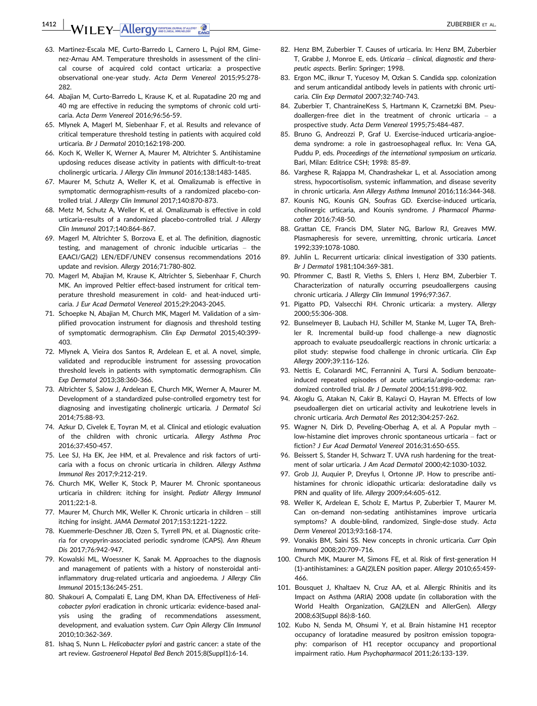**1412 | WILEY-Allergy AND ALLEY ALLER ALLER ALLER ALLER ALLER ALLER ALLER ALL** 

- 63. Martinez-Escala ME, Curto-Barredo L, Carnero L, Pujol RM, Gimenez-Arnau AM. Temperature thresholds in assessment of the clinical course of acquired cold contact urticaria: a prospective observational one-year study. *Acta Derm Venereol* 2015;95:278- 282.
- 64. Abajian M, Curto-Barredo L, Krause K, et al. Rupatadine 20 mg and 40 mg are effective in reducing the symptoms of chronic cold urticaria. *Acta Derm Venereol* 2016;96:56-59.
- 65. Mlynek A, Magerl M, Siebenhaar F, et al. Results and relevance of critical temperature threshold testing in patients with acquired cold urticaria. *Br J Dermatol* 2010;162:198-200.
- 66. Koch K, Weller K, Werner A, Maurer M, Altrichter S. Antihistamine updosing reduces disease activity in patients with difficult-to-treat cholinergic urticaria. *J Allergy Clin Immunol* 2016;138:1483-1485.
- 67. Maurer M, Schutz A, Weller K, et al. Omalizumab is effective in symptomatic dermographism-results of a randomized placebo-controlled trial. *J Allergy Clin Immunol* 2017;140:870-873.
- 68. Metz M, Schutz A, Weller K, et al. Omalizumab is effective in cold urticaria-results of a randomized placebo-controlled trial. *J Allergy Clin Immunol* 2017;140:864-867.
- 69. Magerl M, Altrichter S, Borzova E, et al. The definition, diagnostic testing, and management of chronic inducible urticarias – the EAACI/GA(2) LEN/EDF/UNEV consensus recommendations 2016 update and revision. *Allergy* 2016;71:780-802.
- 70. Magerl M, Abajian M, Krause K, Altrichter S, Siebenhaar F, Church MK. An improved Peltier effect-based instrument for critical temperature threshold measurement in cold- and heat-induced urticaria. *J Eur Acad Dermatol Venereol* 2015;29:2043-2045.
- 71. Schoepke N, Abajian M, Church MK, Magerl M. Validation of a simplified provocation instrument for diagnosis and threshold testing of symptomatic dermographism. *Clin Exp Dermatol* 2015;40:399- 403.
- 72. Mlynek A, Vieira dos Santos R, Ardelean E, et al. A novel, simple, validated and reproducible instrument for assessing provocation threshold levels in patients with symptomatic dermographism. *Clin Exp Dermatol* 2013;38:360-366.
- 73. Altrichter S, Salow J, Ardelean E, Church MK, Werner A, Maurer M. Development of a standardized pulse-controlled ergometry test for diagnosing and investigating cholinergic urticaria. *J Dermatol Sci* 2014;75:88-93.
- 74. Azkur D, Civelek E, Toyran M, et al. Clinical and etiologic evaluation of the children with chronic urticaria. *Allergy Asthma Proc* 2016;37:450-457.
- 75. Lee SJ, Ha EK, Jee HM, et al. Prevalence and risk factors of urticaria with a focus on chronic urticaria in children. *Allergy Asthma Immunol Res* 2017;9:212-219.
- 76. Church MK, Weller K, Stock P, Maurer M. Chronic spontaneous urticaria in children: itching for insight. *Pediatr Allergy Immunol* 2011;22:1-8.
- 77. Maurer M, Church MK, Weller K. Chronic urticaria in children still itching for insight. *JAMA Dermatol* 2017;153:1221-1222.
- 78. Kuemmerle-Deschner JB, Ozen S, Tyrrell PN, et al. Diagnostic criteria for cryopyrin-associated periodic syndrome (CAPS). *Ann Rheum Dis* 2017;76:942-947.
- 79. Kowalski ML, Woessner K, Sanak M. Approaches to the diagnosis and management of patients with a history of nonsteroidal antiinflammatory drug-related urticaria and angioedema. *J Allergy Clin Immunol* 2015;136:245-251.
- 80. Shakouri A, Compalati E, Lang DM, Khan DA. Effectiveness of *Helicobacter pylori* eradication in chronic urticaria: evidence-based analysis using the grading of recommendations assessment, development, and evaluation system. *Curr Opin Allergy Clin Immunol* 2010;10:362-369.
- 81. Ishaq S, Nunn L. *Helicobacter pylori* and gastric cancer: a state of the art review. *Gastroenerol Hepatol Bed Bench* 2015;8(Suppl1):6-14.
- 82. Henz BM, Zuberbier T. Causes of urticaria. In: Henz BM, Zuberbier T, Grabbe J, Monroe E, eds. *Urticaria – clinical, diagnostic and therapeutic aspects*. Berlin: Springer; 1998.
- 83. Ergon MC, ilknur T, Yucesoy M, Ozkan S. Candida spp. colonization and serum anticandidal antibody levels in patients with chronic urticaria. *Clin Exp Dermatol* 2007;32:740-743.
- 84. Zuberbier T, ChantraineKess S, Hartmann K, Czarnetzki BM. Pseudoallergen-free diet in the treatment of chronic urticaria – a prospective study. *Acta Derm Venereol* 1995;75:484-487.
- 85. Bruno G, Andreozzi P, Graf U. Exercise-induced urticaria-angioedema syndrome: a role in gastroesophageal reflux. In: Vena GA, Puddu P, eds. *Proceedings of the international symposium on urticaria*. Bari, Milan: Editrice CSH; 1998: 85-89.
- 86. Varghese R, Rajappa M, Chandrashekar L, et al. Association among stress, hypocortisolism, systemic inflammation, and disease severity in chronic urticaria. *Ann Allergy Asthma Immunol* 2016;116:344-348.
- 87. Kounis NG, Kounis GN, Soufras GD. Exercise-induced urticaria, cholinergic urticaria, and Kounis syndrome. *J Pharmacol Pharmacother* 2016;7:48-50.
- 88. Grattan CE, Francis DM, Slater NG, Barlow RJ, Greaves MW. Plasmapheresis for severe, unremitting, chronic urticaria. *Lancet* 1992;339:1078-1080.
- 89. Juhlin L. Recurrent urticaria: clinical investigation of 330 patients. *Br J Dermatol* 1981;104:369-381.
- 90. Pfrommer C, Bastl R, Vieths S, Ehlers I, Henz BM, Zuberbier T. Characterization of naturally occurring pseudoallergens causing chronic urticaria. *J Allergy Clin Immunol* 1996;97:367.
- 91. Pigatto PD, Valsecchi RH. Chronic urticaria: a mystery. *Allergy* 2000;55:306-308.
- 92. Bunselmeyer B, Laubach HJ, Schiller M, Stanke M, Luger TA, Brehler R. Incremental build-up food challenge–a new diagnostic approach to evaluate pseudoallergic reactions in chronic urticaria: a pilot study: stepwise food challenge in chronic urticaria. *Clin Exp Allergy* 2009;39:116-126.
- 93. Nettis E, Colanardi MC, Ferrannini A, Tursi A. Sodium benzoateinduced repeated episodes of acute urticaria/angio-oedema: randomized controlled trial. *Br J Dermatol* 2004;151:898-902.
- 94. Akoglu G, Atakan N, Cakir B, Kalayci O, Hayran M. Effects of low pseudoallergen diet on urticarial activity and leukotriene levels in chronic urticaria. *Arch Dermatol Res* 2012;304:257-262.
- 95. Wagner N, Dirk D, Peveling-Oberhag A, et al. A Popular myth low-histamine diet improves chronic spontaneous urticaria – fact or fiction? *J Eur Acad Dermatol Venereol* 2016;31:650-655.
- 96. Beissert S, Stander H, Schwarz T. UVA rush hardening for the treatment of solar urticaria. *J Am Acad Dermatol* 2000;42:1030-1032.
- 97. Grob JJ, Auquier P, Dreyfus I, Ortonne JP. How to prescribe antihistamines for chronic idiopathic urticaria: desloratadine daily vs PRN and quality of life. *Allergy* 2009;64:605-612.
- 98. Weller K, Ardelean E, Scholz E, Martus P, Zuberbier T, Maurer M. Can on-demand non-sedating antihistamines improve urticaria symptoms? A double-blind, randomized, Single-dose study. *Acta Derm Venereol* 2013;93:168-174.
- 99. Vonakis BM, Saini SS. New concepts in chronic urticaria. *Curr Opin Immunol* 2008;20:709-716.
- 100. Church MK, Maurer M, Simons FE, et al. Risk of first-generation H (1)-antihistamines: a GA(2)LEN position paper. *Allergy* 2010;65:459- 466.
- 101. Bousquet J, Khaltaev N, Cruz AA, et al. Allergic Rhinitis and its Impact on Asthma (ARIA) 2008 update (in collaboration with the World Health Organization, GA(2)LEN and AllerGen). *Allergy* 2008;63(Suppl 86):8-160.
- 102. Kubo N, Senda M, Ohsumi Y, et al. Brain histamine H1 receptor occupancy of loratadine measured by positron emission topography: comparison of H1 receptor occupancy and proportional impairment ratio. *Hum Psychopharmacol* 2011;26:133-139.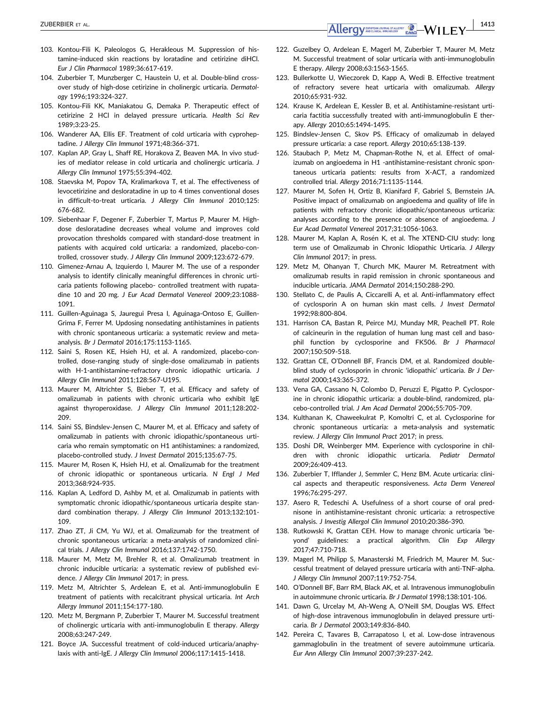- 103. Kontou-Fili K, Paleologos G, Herakleous M. Suppression of histamine-induced skin reactions by loratadine and cetirizine diHCl. *Eur J Clin Pharmacol* 1989;36:617-619.
- 104. Zuberbier T, Munzberger C, Haustein U, et al. Double-blind crossover study of high-dose cetirizine in cholinergic urticaria. *Dermatology* 1996;193:324-327.
- 105. Kontou-Fili KK, Maniakatou G, Demaka P. Therapeutic effect of cetirizine 2 HCl in delayed pressure urticaria. *Health Sci Rev* 1989;3:23-25.
- 106. Wanderer AA, Ellis EF. Treatment of cold urticaria with cyproheptadine. *J Allergy Clin Immunol* 1971;48:366-371.
- 107. Kaplan AP, Gray L, Shaff RE, Horakova Z, Beaven MA. In vivo studies of mediator release in cold urticaria and cholinergic urticaria. *J Allergy Clin Immunol* 1975;55:394-402.
- 108. Staevska M, Popov TA, Kralimarkova T, et al. The effectiveness of levocetirizine and desloratadine in up to 4 times conventional doses in difficult-to-treat urticaria. *J Allergy Clin Immunol* 2010;125: 676-682.
- 109. Siebenhaar F, Degener F, Zuberbier T, Martus P, Maurer M. Highdose desloratadine decreases wheal volume and improves cold provocation thresholds compared with standard-dose treatment in patients with acquired cold urticaria: a randomized, placebo-controlled, crossover study. *J Allergy Clin Immunol* 2009;123:672-679.
- 110. Gimenez-Arnau A, Izquierdo I, Maurer M. The use of a responder analysis to identify clinically meaningful differences in chronic urticaria patients following placebo- controlled treatment with rupatadine 10 and 20 mg. *J Eur Acad Dermatol Venereol* 2009;23:1088- 1091.
- 111. Guillen-Aguinaga S, Jauregui Presa I, Aguinaga-Ontoso E, Guillen-Grima F, Ferrer M. Updosing nonsedating antihistamines in patients with chronic spontaneous urticaria: a systematic review and metaanalysis. *Br J Dermatol* 2016;175:1153-1165.
- 112. Saini S, Rosen KE, Hsieh HJ, et al. A randomized, placebo-controlled, dose-ranging study of single-dose omalizumab in patients with H-1-antihistamine-refractory chronic idiopathic urticaria. *J Allergy Clin Immunol* 2011;128:567-U195.
- 113. Maurer M, Altrichter S, Bieber T, et al. Efficacy and safety of omalizumab in patients with chronic urticaria who exhibit IgE against thyroperoxidase. *J Allergy Clin Immunol* 2011;128:202- 209.
- 114. Saini SS, Bindslev-Jensen C, Maurer M, et al. Efficacy and safety of omalizumab in patients with chronic idiopathic/spontaneous urticaria who remain symptomatic on H1 antihistamines: a randomized, placebo-controlled study. *J Invest Dermatol* 2015;135:67-75.
- 115. Maurer M, Rosen K, Hsieh HJ, et al. Omalizumab for the treatment of chronic idiopathic or spontaneous urticaria. *N Engl J Med* 2013;368:924-935.
- 116. Kaplan A, Ledford D, Ashby M, et al. Omalizumab in patients with symptomatic chronic idiopathic/spontaneous urticaria despite standard combination therapy. *J Allergy Clin Immunol* 2013;132:101- 109.
- 117. Zhao ZT, Ji CM, Yu WJ, et al. Omalizumab for the treatment of chronic spontaneous urticaria: a meta-analysis of randomized clinical trials. *J Allergy Clin Immunol* 2016;137:1742-1750.
- 118. Maurer M, Metz M, Brehler R, et al. Omalizumab treatment in chronic inducible urticaria: a systematic review of published evidence. *J Allergy Clin Immunol* 2017; in press.
- 119. Metz M, Altrichter S, Ardelean E, et al. Anti-immunoglobulin E treatment of patients with recalcitrant physical urticaria. *Int Arch Allergy Immunol* 2011;154:177-180.
- 120. Metz M, Bergmann P, Zuberbier T, Maurer M. Successful treatment of cholinergic urticaria with anti-immunoglobulin E therapy. *Allergy* 2008;63:247-249.
- 121. Boyce JA. Successful treatment of cold-induced urticaria/anaphylaxis with anti-IgE. *J Allergy Clin Immunol* 2006;117:1415-1418.
- 122. Guzelbey O, Ardelean E, Magerl M, Zuberbier T, Maurer M, Metz M. Successful treatment of solar urticaria with anti-immunoglobulin E therapy. *Allergy* 2008;63:1563-1565.
- 123. Bullerkotte U, Wieczorek D, Kapp A, Wedi B. Effective treatment of refractory severe heat urticaria with omalizumab. *Allergy* 2010;65:931-932.
- 124. Krause K, Ardelean E, Kessler B, et al. Antihistamine-resistant urticaria factitia successfully treated with anti-immunoglobulin E therapy. *Allergy* 2010;65:1494-1495.
- 125. Bindslev-Jensen C, Skov PS. Efficacy of omalizumab in delayed pressure urticaria: a case report. *Allergy* 2010;65:138-139.
- 126. Staubach P, Metz M, Chapman-Rothe N, et al. Effect of omalizumab on angioedema in H1 -antihistamine-resistant chronic spontaneous urticaria patients: results from X-ACT, a randomized controlled trial. *Allergy* 2016;71:1135-1144.
- 127. Maurer M, Sofen H, Ortiz B, Kianifard F, Gabriel S, Bernstein JA. Positive impact of omalizumab on angioedema and quality of life in patients with refractory chronic idiopathic/spontaneous urticaria: analyses according to the presence or absence of angioedema. *J Eur Acad Dermatol Venereol* 2017;31:1056-1063.
- 128. Maurer M, Kaplan A, Rosén K, et al. The XTEND-CIU study: long term use of Omalizumab in Chronic Idiopathic Urticaria. *J Allergy Clin Immunol* 2017; in press.
- 129. Metz M, Ohanyan T, Church MK, Maurer M. Retreatment with omalizumab results in rapid remission in chronic spontaneous and inducible urticaria. *JAMA Dermatol* 2014;150:288-290.
- 130. Stellato C, de Paulis A, Ciccarelli A, et al. Anti-inflammatory effect of cyclosporin A on human skin mast cells. *J Invest Dermatol* 1992;98:800-804.
- 131. Harrison CA, Bastan R, Peirce MJ, Munday MR, Peachell PT. Role of calcineurin in the regulation of human lung mast cell and basophil function by cyclosporine and FK506. *Br J Pharmacol* 2007;150:509-518.
- 132. Grattan CE, O'Donnell BF, Francis DM, et al. Randomized doubleblind study of cyclosporin in chronic 'idiopathic' urticaria. *Br J Dermatol* 2000;143:365-372.
- 133. Vena GA, Cassano N, Colombo D, Peruzzi E, Pigatto P. Cyclosporine in chronic idiopathic urticaria: a double-blind, randomized, placebo-controlled trial. *J Am Acad Dermatol* 2006;55:705-709.
- 134. Kulthanan K, Chaweekulrat P, Komoltri C, et al. Cyclosporine for chronic spontaneous urticaria: a meta-analysis and systematic review. *J Allergy Clin Immunol Pract* 2017; in press.
- 135. Doshi DR, Weinberger MM. Experience with cyclosporine in children with chronic idiopathic urticaria. *Pediatr Dermatol* 2009;26:409-413.
- 136. Zuberbier T, Ifflander J, Semmler C, Henz BM. Acute urticaria: clinical aspects and therapeutic responsiveness. *Acta Derm Venereol* 1996;76:295-297.
- 137. Asero R, Tedeschi A. Usefulness of a short course of oral prednisone in antihistamine-resistant chronic urticaria: a retrospective analysis. *J Investig Allergol Clin Immunol* 2010;20:386-390.
- 138. Rutkowski K, Grattan CEH. How to manage chronic urticaria 'beyond' guidelines: a practical algorithm. *Clin Exp Allergy* 2017;47:710-718.
- 139. Magerl M, Philipp S, Manasterski M, Friedrich M, Maurer M. Successful treatment of delayed pressure urticaria with anti-TNF-alpha. *J Allergy Clin Immunol* 2007;119:752-754.
- 140. O'Donnell BF, Barr RM, Black AK, et al. Intravenous immunoglobulin in autoimmune chronic urticaria. *Br J Dermatol* 1998;138:101-106.
- 141. Dawn G, Urcelay M, Ah-Weng A, O'Neill SM, Douglas WS. Effect of high-dose intravenous immunoglobulin in delayed pressure urticaria. *Br J Dermatol* 2003;149:836-840.
- 142. Pereira C, Tavares B, Carrapatoso I, et al. Low-dose intravenous gammaglobulin in the treatment of severe autoimmune urticaria. *Eur Ann Allergy Clin Immunol* 2007;39:237-242.